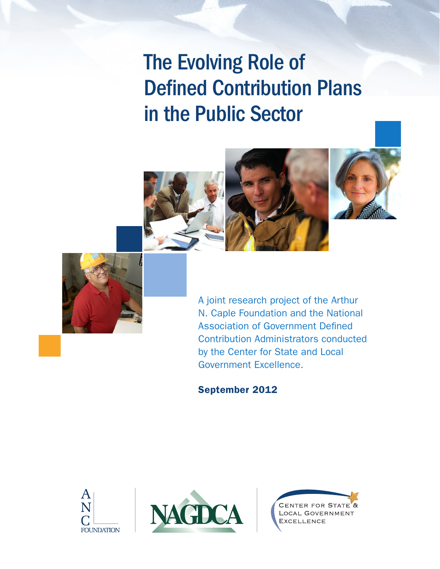# The Evolving Role of Defined Contribution Plans in the Public Sector







A joint research project of the Arthur N. Caple Foundation and the National Association of Government Defined Contribution Administrators conducted by the Center for State and Local Government Excellence.

September 2012





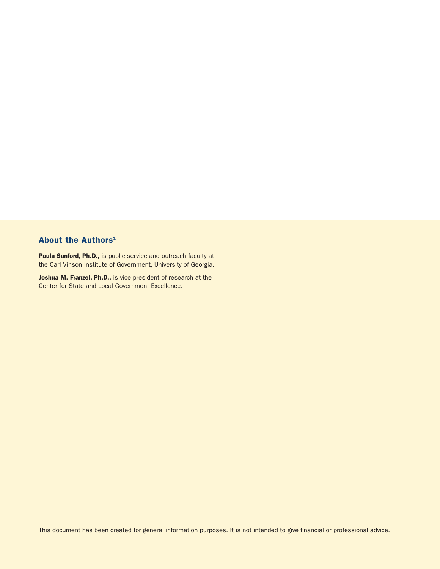# About the Authors<sup>1</sup>

Paula Sanford, Ph.D., is public service and outreach faculty at the Carl Vinson Institute of Government, University of Georgia.

Joshua M. Franzel, Ph.D., is vice president of research at the Center for State and Local Government Excellence.

This document has been created for general information purposes. It is not intended to give financial or professional advice.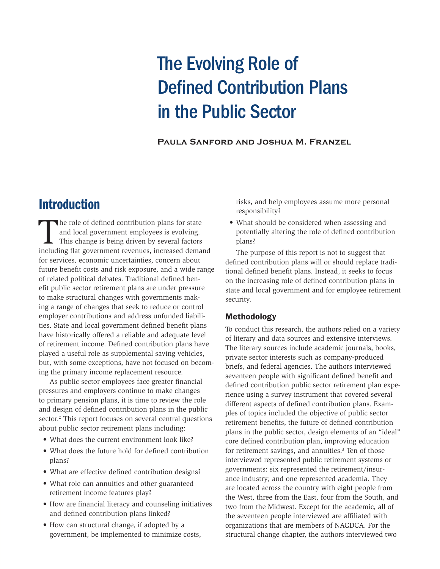# The Evolving Role of Defined Contribution Plans in the Public Sector

**Paula Sanford and Joshua M. Franzel**

# Introduction

The role of defined contribution plans for state<br>and local government employees is evolving.<br>This change is being driven by several factors<br>including flat government revenues, increased demai and local government employees is evolving. This change is being driven by several factors including flat government revenues, increased demand for services, economic uncertainties, concern about future benefit costs and risk exposure, and a wide range of related political debates. Traditional defined benefit public sector retirement plans are under pressure to make structural changes with governments making a range of changes that seek to reduce or control employer contributions and address unfunded liabilities. State and local government defined benefit plans have historically offered a reliable and adequate level of retirement income. Defined contribution plans have played a useful role as supplemental saving vehicles, but, with some exceptions, have not focused on becoming the primary income replacement resource.

As public sector employees face greater financial pressures and employers continue to make changes to primary pension plans, it is time to review the role and design of defined contribution plans in the public sector.<sup>2</sup> This report focuses on several central questions about public sector retirement plans including:

- What does the current environment look like?
- What does the future hold for defined contribution plans?
- What are effective defined contribution designs?
- What role can annuities and other guaranteed retirement income features play?
- How are financial literacy and counseling initiatives and defined contribution plans linked?
- How can structural change, if adopted by a government, be implemented to minimize costs,

risks, and help employees assume more personal responsibility?

• What should be considered when assessing and potentially altering the role of defined contribution plans?

The purpose of this report is not to suggest that defined contribution plans will or should replace traditional defined benefit plans. Instead, it seeks to focus on the increasing role of defined contribution plans in state and local government and for employee retirement security.

### Methodology

To conduct this research, the authors relied on a variety of literary and data sources and extensive interviews. The literary sources include academic journals, books, private sector interests such as company-produced briefs, and federal agencies. The authors interviewed seventeen people with significant defined benefit and defined contribution public sector retirement plan experience using a survey instrument that covered several different aspects of defined contribution plans. Examples of topics included the objective of public sector retirement benefits, the future of defined contribution plans in the public sector, design elements of an "ideal" core defined contribution plan, improving education for retirement savings, and annuities.<sup>3</sup> Ten of those interviewed represented public retirement systems or governments; six represented the retirement/insurance industry; and one represented academia. They are located across the country with eight people from the West, three from the East, four from the South, and two from the Midwest. Except for the academic, all of the seventeen people interviewed are affiliated with organizations that are members of NAGDCA. For the structural change chapter, the authors interviewed two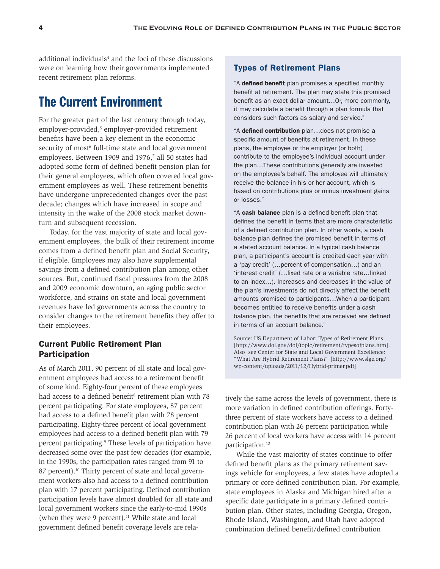additional individuals<sup>4</sup> and the foci of these discussions were on learning how their governments implemented recent retirement plan reforms.

# The Current Environment

For the greater part of the last century through today, employer-provided,<sup>5</sup> employer-provided retirement benefits have been a key element in the economic security of most<sup>6</sup> full-time state and local government employees. Between 1909 and 1976,<sup>7</sup> all 50 states had adopted some form of defined benefit pension plan for their general employees, which often covered local government employees as well. These retirement benefits have undergone unprecedented changes over the past decade; changes which have increased in scope and intensity in the wake of the 2008 stock market downturn and subsequent recession.

Today, for the vast majority of state and local government employees, the bulk of their retirement income comes from a defined benefit plan and Social Security, if eligible. Employees may also have supplemental savings from a defined contribution plan among other sources. But, continued fiscal pressures from the 2008 and 2009 economic downturn, an aging public sector workforce, and strains on state and local government revenues have led governments across the country to consider changes to the retirement benefits they offer to their employees.

# Current Public Retirement Plan Participation

As of March 2011, 90 percent of all state and local government employees had access to a retirement benefit of some kind. Eighty-four percent of these employees had access to a defined benefit<sup>8</sup> retirement plan with 78 percent participating. For state employees, 87 percent had access to a defined benefit plan with 78 percent participating. Eighty-three percent of local government employees had access to a defined benefit plan with 79 percent participating.<sup>9</sup> These levels of participation have decreased some over the past few decades (for example, in the 1990s, the participation rates ranged from 91 to 87 percent).<sup>10</sup> Thirty percent of state and local government workers also had access to a defined contribution plan with 17 percent participating. Defined contribution participation levels have almost doubled for all state and local government workers since the early-to-mid 1990s (when they were 9 percent). $11$  While state and local government defined benefit coverage levels are rela-

### Types of Retirement Plans

"A defined benefit plan promises a specified monthly benefit at retirement. The plan may state this promised benefit as an exact dollar amount…Or, more commonly, it may calculate a benefit through a plan formula that considers such factors as salary and service."

"A defined contribution plan...does not promise a specific amount of benefits at retirement. In these plans, the employee or the employer (or both) contribute to the employee's individual account under the plan…These contributions generally are invested on the employee's behalf. The employee will ultimately receive the balance in his or her account, which is based on contributions plus or minus investment gains or losses."

"A cash balance plan is a defined benefit plan that defines the benefit in terms that are more characteristic of a defined contribution plan. In other words, a cash balance plan defines the promised benefit in terms of a stated account balance. In a typical cash balance plan, a participant's account is credited each year with a 'pay credit' (…percent of compensation…) and an 'interest credit' (…fixed rate or a variable rate…linked to an index…). Increases and decreases in the value of the plan's investments do not directly affect the benefit amounts promised to participants…When a participant becomes entitled to receive benefits under a cash balance plan, the benefits that are received are defined in terms of an account balance."

Source: US Department of Labor: Types of Retirement Plans [http://www.dol.gov/dol/topic/retirement/typesofplans.htm]. Also see Center for State and Local Government Excellence: "What Are Hybrid Retirement Plans?" [http://www.slge.org/ wp-content/uploads/2011/12/Hybrid-primer.pdf]

tively the same across the levels of government, there is more variation in defined contribution offerings. Fortythree percent of state workers have access to a defined contribution plan with 26 percent participation while 26 percent of local workers have access with 14 percent participation.<sup>12</sup>

While the vast majority of states continue to offer defined benefit plans as the primary retirement savings vehicle for employees, a few states have adopted a primary or core defined contribution plan. For example, state employees in Alaska and Michigan hired after a specific date participate in a primary defined contribution plan. Other states, including Georgia, Oregon, Rhode Island, Washington, and Utah have adopted combination defined benefit/defined contribution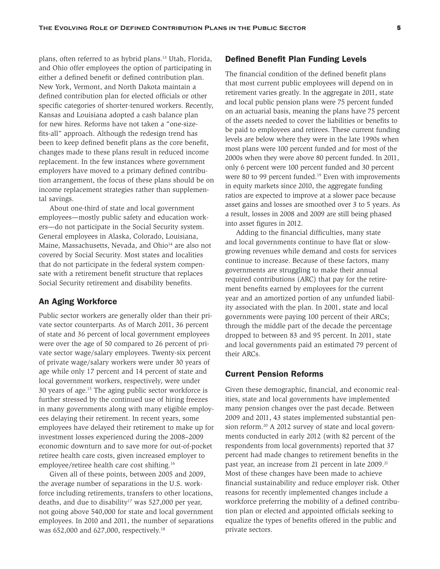plans, often referred to as hybrid plans.<sup>13</sup> Utah, Florida, and Ohio offer employees the option of participating in either a defined benefit or defined contribution plan. New York, Vermont, and North Dakota maintain a defined contribution plan for elected officials or other specific categories of shorter-tenured workers. Recently, Kansas and Louisiana adopted a cash balance plan for new hires. Reforms have not taken a "one-sizefits-all" approach. Although the redesign trend has been to keep defined benefit plans as the core benefit, changes made to these plans result in reduced income replacement. In the few instances where government employers have moved to a primary defined contribution arrangement, the focus of these plans should be on income replacement strategies rather than supplemental savings.

About one-third of state and local government employees—mostly public safety and education workers—do not participate in the Social Security system. General employees in Alaska, Colorado, Louisiana, Maine, Massachusetts, Nevada, and Ohio<sup>14</sup> are also not covered by Social Security. Most states and localities that do not participate in the federal system compensate with a retirement benefit structure that replaces Social Security retirement and disability benefits.

#### An Aging Workforce

Public sector workers are generally older than their private sector counterparts. As of March 2011, 36 percent of state and 36 percent of local government employees were over the age of 50 compared to 26 percent of private sector wage/salary employees. Twenty-six percent of private wage/salary workers were under 30 years of age while only 17 percent and 14 percent of state and local government workers, respectively, were under 30 years of age.15 The aging public sector workforce is further stressed by the continued use of hiring freezes in many governments along with many eligible employees delaying their retirement. In recent years, some employees have delayed their retirement to make up for investment losses experienced during the 2008–2009 economic downturn and to save more for out-of-pocket retiree health care costs, given increased employer to employee/retiree health care cost shifting.16

Given all of these points, between 2005 and 2009, the average number of separations in the U.S. workforce including retirements, transfers to other locations, deaths, and due to disability<sup>17</sup> was 527,000 per year, not going above 540,000 for state and local government employees. In 2010 and 2011, the number of separations was 652,000 and 627,000, respectively.18

#### Defined Benefit Plan Funding Levels

The financial condition of the defined benefit plans that most current public employees will depend on in retirement varies greatly. In the aggregate in 2011, state and local public pension plans were 75 percent funded on an actuarial basis, meaning the plans have 75 percent of the assets needed to cover the liabilities or benefits to be paid to employees and retirees. These current funding levels are below where they were in the late 1990s when most plans were 100 percent funded and for most of the 2000s when they were above 80 percent funded. In 2011, only 6 percent were 100 percent funded and 30 percent were 80 to 99 percent funded.<sup>19</sup> Even with improvements in equity markets since 2010, the aggregate funding ratios are expected to improve at a slower pace because asset gains and losses are smoothed over 3 to 5 years. As a result, losses in 2008 and 2009 are still being phased into asset figures in 2012.

Adding to the financial difficulties, many state and local governments continue to have flat or slowgrowing revenues while demand and costs for services continue to increase. Because of these factors, many governments are struggling to make their annual required contributions (ARC) that pay for the retirement benefits earned by employees for the current year and an amortized portion of any unfunded liability associated with the plan. In 2001, state and local governments were paying 100 percent of their ARCs; through the middle part of the decade the percentage dropped to between 83 and 95 percent. In 2011, state and local governments paid an estimated 79 percent of their ARCs.

### Current Pension Reforms

Given these demographic, financial, and economic realities, state and local governments have implemented many pension changes over the past decade. Between 2009 and 2011, 43 states implemented substantial pension reform.<sup>20</sup> A 2012 survey of state and local governments conducted in early 2012 (with 82 percent of the respondents from local governments) reported that 37 percent had made changes to retirement benefits in the past year, an increase from 21 percent in late 2009.<sup>21</sup> Most of these changes have been made to achieve financial sustainability and reduce employer risk. Other reasons for recently implemented changes include a workforce preferring the mobility of a defined contribution plan or elected and appointed officials seeking to equalize the types of benefits offered in the public and private sectors.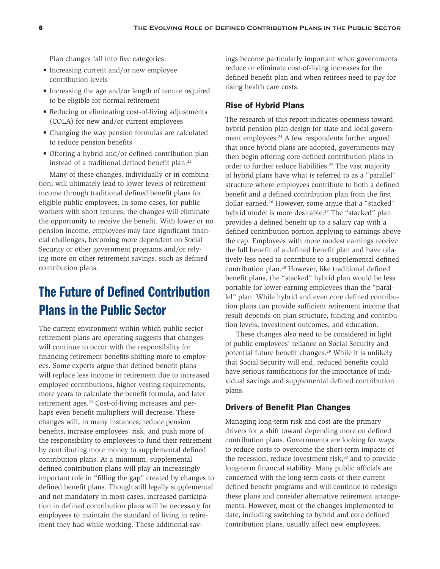Plan changes fall into five categories:

- Increasing current and/or new employee contribution levels
- Increasing the age and/or length of tenure required to be eligible for normal retirement
- Reducing or eliminating cost-of-living adjustments (COLA) for new and/or current employees
- Changing the way pension formulas are calculated to reduce pension benefits
- Offering a hybrid and/or defined contribution plan instead of a traditional defined benefit plan.<sup>22</sup>

Many of these changes, individually or in combination, will ultimately lead to lower levels of retirement income through traditional defined benefit plans for eligible public employees. In some cases, for public workers with short tenures, the changes will eliminate the opportunity to receive the benefit. With lower or no pension income, employees may face significant financial challenges, becoming more dependent on Social Security or other government programs and/or relying more on other retirement savings, such as defined contribution plans.

# The Future of Defined Contribution Plans in the Public Sector

The current environment within which public sector retirement plans are operating suggests that changes will continue to occur with the responsibility for financing retirement benefits shifting more to employees. Some experts argue that defined benefit plans will replace less income in retirement due to increased employee contributions, higher vesting requirements, more years to calculate the benefit formula, and later retirement ages.23 Cost-of-living increases and perhaps even benefit multipliers will decrease. These changes will, in many instances, reduce pension benefits, increase employees' risk, and push more of the responsibility to employees to fund their retirement by contributing more money to supplemental defined contribution plans. At a minimum, supplemental defined contribution plans will play an increasingly important role in "filling the gap" created by changes to defined benefit plans. Though still legally supplemental and not mandatory in most cases, increased participation in defined contribution plans will be necessary for employees to maintain the standard of living in retirement they had while working. These additional savings become particularly important when governments reduce or eliminate cost-of-living increases for the defined benefit plan and when retirees need to pay for rising health care costs.

#### Rise of Hybrid Plans

The research of this report indicates openness toward hybrid pension plan design for state and local government employees.<sup>24</sup> A few respondents further argued that once hybrid plans are adopted, governments may then begin offering core defined contribution plans in order to further reduce liabilities.<sup>25</sup> The vast majority of hybrid plans have what is referred to as a "parallel" structure where employees contribute to both a defined benefit and a defined contribution plan from the first dollar earned.<sup>26</sup> However, some argue that a "stacked" hybrid model is more desirable.<sup>27</sup> The "stacked" plan provides a defined benefit up to a salary cap with a defined contribution portion applying to earnings above the cap. Employees with more modest earnings receive the full benefit of a defined benefit plan and have relatively less need to contribute to a supplemental defined contribution plan.28 However, like traditional defined benefit plans, the "stacked" hybrid plan would be less portable for lower-earning employees than the "parallel" plan. While hybrid and even core defined contribution plans can provide sufficient retirement income that result depends on plan structure, funding and contribution levels, investment outcomes, and education.

These changes also need to be considered in light of public employees' reliance on Social Security and potential future benefit changes.29 While it is unlikely that Social Security will end, reduced benefits could have serious ramifications for the importance of individual savings and supplemental defined contribution plans.

### Drivers of Benefit Plan Changes

Managing long-term risk and cost are the primary drivers for a shift toward depending more on defined contribution plans. Governments are looking for ways to reduce costs to overcome the short-term impacts of the recession, reduce investment risk, $30$  and to provide long-term financial stability. Many public officials are concerned with the long-term costs of their current defined benefit programs and will continue to redesign these plans and consider alternative retirement arrangements. However, most of the changes implemented to date, including switching to hybrid and core defined contribution plans, usually affect new employees.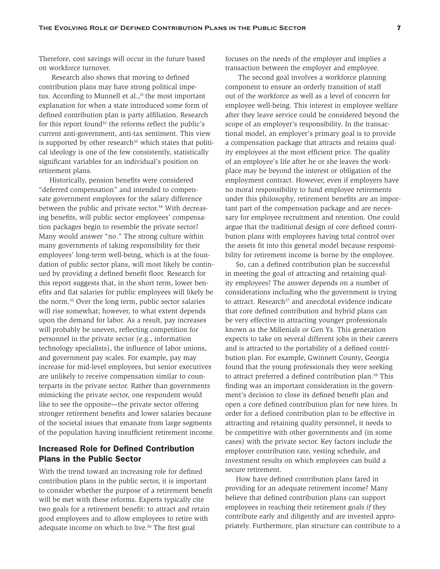Therefore, cost savings will occur in the future based on workforce turnover.

 Research also shows that moving to defined contribution plans may have strong political impetus. According to Munnell et al., $31$  the most important explanation for when a state introduced some form of defined contribution plan is party affiliation. Research for this report found<sup>32</sup> the reforms reflect the public's current anti-government, anti-tax sentiment. This view is supported by other research $33$  which states that political ideology is one of the few consistently, statistically significant variables for an individual's position on retirement plans.

Historically, pension benefits were considered "deferred compensation" and intended to compensate government employees for the salary difference between the public and private sector.<sup>34</sup> With decreasing benefits, will public sector employees' compensation packages begin to resemble the private sector? Many would answer "no." The strong culture within many governments of taking responsibility for their employees' long-term well-being, which is at the foundation of public sector plans, will most likely be continued by providing a defined benefit floor. Research for this report suggests that, in the short term, lower benefits and flat salaries for public employees will likely be the norm.35 Over the long term, public sector salaries will rise somewhat; however, to what extent depends upon the demand for labor. As a result, pay increases will probably be uneven, reflecting competition for personnel in the private sector (e.g., information technology specialists), the influence of labor unions, and government pay scales. For example, pay may increase for mid-level employees, but senior executives are unlikely to receive compensation similar to counterparts in the private sector. Rather than governments mimicking the private sector, one respondent would like to see the opposite—the private sector offering stronger retirement benefits and lower salaries because of the societal issues that emanate from large segments of the population having insufficient retirement income.

## Increased Role for Defined Contribution Plans in the Public Sector

With the trend toward an increasing role for defined contribution plans in the public sector, it is important to consider whether the purpose of a retirement benefit will be met with these reforms. Experts typically cite two goals for a retirement benefit: to attract and retain good employees and to allow employees to retire with adequate income on which to live.<sup>36</sup> The first goal

focuses on the needs of the employer and implies a transaction between the employer and employee.

 The second goal involves a workforce planning component to ensure an orderly transition of staff out of the workforce as well as a level of concern for employee well-being. This interest in employee welfare after they leave service could be considered beyond the scope of an employer's responsibility. In the transactional model, an employer's primary goal is to provide a compensation package that attracts and retains quality employees at the most efficient price. The quality of an employee's life after he or she leaves the workplace may be beyond the interest or obligation of the employment contract. However, even if employers have no moral responsibility to fund employee retirements under this philosophy, retirement benefits are an important part of the compensation package and are necessary for employee recruitment and retention. One could argue that the traditional design of core defined contribution plans with employees having total control over the assets fit into this general model because responsibility for retirement income is borne by the employee.

So, can a defined contribution plan be successful in meeting the goal of attracting and retaining quality employees? The answer depends on a number of considerations including who the government is trying to attract. Research $37$  and anecdotal evidence indicate that core defined contribution and hybrid plans can be very effective in attracting younger professionals known as the Millenials or Gen Ys. This generation expects to take on several different jobs in their careers and is attracted to the portability of a defined contribution plan. For example, Gwinnett County, Georgia found that the young professionals they were seeking to attract preferred a defined contribution plan.<sup>38</sup> This finding was an important consideration in the government's decision to close its defined benefit plan and open a core defined contribution plan for new hires. In order for a defined contribution plan to be effective in attracting and retaining quality personnel, it needs to be competitive with other governments and (in some cases) with the private sector. Key factors include the employer contribution rate, vesting schedule, and investment results on which employees can build a secure retirement.

How have defined contribution plans fared in providing for an adequate retirement income? Many believe that defined contribution plans can support employees in reaching their retirement goals *if* they contribute early and diligently and are invested appropriately. Furthermore, plan structure can contribute to a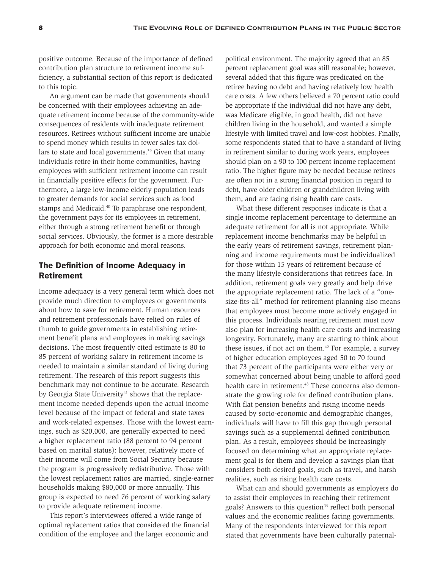positive outcome. Because of the importance of defined contribution plan structure to retirement income sufficiency, a substantial section of this report is dedicated to this topic.

An argument can be made that governments should be concerned with their employees achieving an adequate retirement income because of the community-wide consequences of residents with inadequate retirement resources. Retirees without sufficient income are unable to spend money which results in fewer sales tax dollars to state and local governments.<sup>39</sup> Given that many individuals retire in their home communities, having employees with sufficient retirement income can result in financially positive effects for the government. Furthermore, a large low-income elderly population leads to greater demands for social services such as food stamps and Medicaid.<sup>40</sup> To paraphrase one respondent, the government pays for its employees in retirement, either through a strong retirement benefit or through social services. Obviously, the former is a more desirable approach for both economic and moral reasons.

# The Definition of Income Adequacy in Retirement

Income adequacy is a very general term which does not provide much direction to employees or governments about how to save for retirement. Human resources and retirement professionals have relied on rules of thumb to guide governments in establishing retirement benefit plans and employees in making savings decisions. The most frequently cited estimate is 80 to 85 percent of working salary in retirement income is needed to maintain a similar standard of living during retirement. The research of this report suggests this benchmark may not continue to be accurate. Research by Georgia State University<sup>41</sup> shows that the replacement income needed depends upon the actual income level because of the impact of federal and state taxes and work-related expenses. Those with the lowest earnings, such as \$20,000, are generally expected to need a higher replacement ratio (88 percent to 94 percent based on marital status); however, relatively more of their income will come from Social Security because the program is progressively redistributive. Those with the lowest replacement ratios are married, single-earner households making \$80,000 or more annually. This group is expected to need 76 percent of working salary to provide adequate retirement income.

This report's interviewees offered a wide range of optimal replacement ratios that considered the financial condition of the employee and the larger economic and

political environment. The majority agreed that an 85 percent replacement goal was still reasonable; however, several added that this figure was predicated on the retiree having no debt and having relatively low health care costs. A few others believed a 70 percent ratio could be appropriate if the individual did not have any debt, was Medicare eligible, in good health, did not have children living in the household, and wanted a simple lifestyle with limited travel and low-cost hobbies. Finally, some respondents stated that to have a standard of living in retirement similar to during work years, employees should plan on a 90 to 100 percent income replacement ratio. The higher figure may be needed because retirees are often not in a strong financial position in regard to debt, have older children or grandchildren living with them, and are facing rising health care costs.

What these different responses indicate is that a single income replacement percentage to determine an adequate retirement for all is not appropriate. While replacement income benchmarks may be helpful in the early years of retirement savings, retirement planning and income requirements must be individualized for those within 15 years of retirement because of the many lifestyle considerations that retirees face. In addition, retirement goals vary greatly and help drive the appropriate replacement ratio. The lack of a "onesize-fits-all" method for retirement planning also means that employees must become more actively engaged in this process. Individuals nearing retirement must now also plan for increasing health care costs and increasing longevity. Fortunately, many are starting to think about these issues, if not act on them.<sup>42</sup> For example, a survey of higher education employees aged 50 to 70 found that 73 percent of the participants were either very or somewhat concerned about being unable to afford good health care in retirement.<sup>43</sup> These concerns also demonstrate the growing role for defined contribution plans. With flat pension benefits and rising income needs caused by socio-economic and demographic changes, individuals will have to fill this gap through personal savings such as a supplemental defined contribution plan. As a result, employees should be increasingly focused on determining what an appropriate replacement goal is for them and develop a savings plan that considers both desired goals, such as travel, and harsh realities, such as rising health care costs.

What can and should governments as employers do to assist their employees in reaching their retirement goals? Answers to this question<sup>44</sup> reflect both personal values and the economic realities facing governments. Many of the respondents interviewed for this report stated that governments have been culturally paternal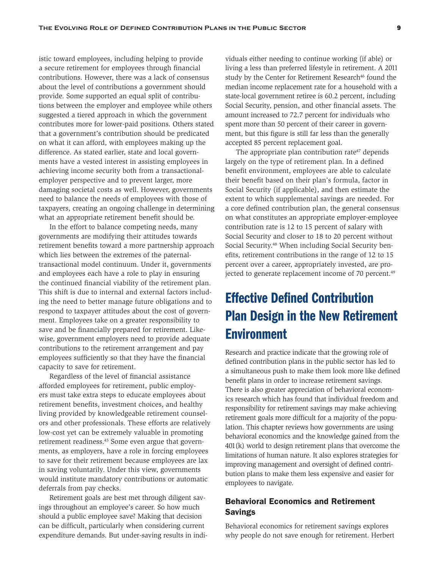istic toward employees, including helping to provide a secure retirement for employees through financial contributions. However, there was a lack of consensus about the level of contributions a government should provide. Some supported an equal split of contributions between the employer and employee while others suggested a tiered approach in which the government contributes more for lower-paid positions. Others stated that a government's contribution should be predicated on what it can afford, with employees making up the difference. As stated earlier, state and local governments have a vested interest in assisting employees in achieving income security both from a transactionalemployer perspective and to prevent larger, more damaging societal costs as well. However, governments need to balance the needs of employees with those of taxpayers, creating an ongoing challenge in determining what an appropriate retirement benefit should be.

In the effort to balance competing needs, many governments are modifying their attitudes towards retirement benefits toward a more partnership approach which lies between the extremes of the paternaltransactional model continuum. Under it, governments and employees each have a role to play in ensuring the continued financial viability of the retirement plan. This shift is due to internal and external factors including the need to better manage future obligations and to respond to taxpayer attitudes about the cost of government. Employees take on a greater responsibility to save and be financially prepared for retirement. Likewise, government employers need to provide adequate contributions to the retirement arrangement and pay employees sufficiently so that they have the financial capacity to save for retirement.

Regardless of the level of financial assistance afforded employees for retirement, public employers must take extra steps to educate employees about retirement benefits, investment choices, and healthy living provided by knowledgeable retirement counselors and other professionals. These efforts are relatively low-cost yet can be extremely valuable in promoting retirement readiness.45 Some even argue that governments, as employers, have a role in forcing employees to save for their retirement because employees are lax in saving voluntarily. Under this view, governments would institute mandatory contributions or automatic deferrals from pay checks.

Retirement goals are best met through diligent savings throughout an employee's career. So how much should a public employee save? Making that decision can be difficult, particularly when considering current expenditure demands. But under-saving results in indi-

viduals either needing to continue working (if able) or living a less than preferred lifestyle in retirement. A 2011 study by the Center for Retirement Research<sup>46</sup> found the median income replacement rate for a household with a state-local government retiree is 60.2 percent, including Social Security, pension, and other financial assets. The amount increased to 72.7 percent for individuals who spent more than 50 percent of their career in government, but this figure is still far less than the generally accepted 85 percent replacement goal.

The appropriate plan contribution rate<sup>47</sup> depends largely on the type of retirement plan. In a defined benefit environment, employees are able to calculate their benefit based on their plan's formula, factor in Social Security (if applicable), and then estimate the extent to which supplemental savings are needed. For a core defined contribution plan, the general consensus on what constitutes an appropriate employer-employee contribution rate is 12 to 15 percent of salary with Social Security and closer to 18 to 20 percent without Social Security.48 When including Social Security benefits, retirement contributions in the range of 12 to 15 percent over a career, appropriately invested, are projected to generate replacement income of 70 percent.<sup>49</sup>

# Effective Defined Contribution Plan Design in the New Retirement **Environment**

Research and practice indicate that the growing role of defined contribution plans in the public sector has led to a simultaneous push to make them look more like defined benefit plans in order to increase retirement savings. There is also greater appreciation of behavioral economics research which has found that individual freedom and responsibility for retirement savings may make achieving retirement goals more difficult for a majority of the population. This chapter reviews how governments are using behavioral economics and the knowledge gained from the 401(k) world to design retirement plans that overcome the limitations of human nature. It also explores strategies for improving management and oversight of defined contribution plans to make them less expensive and easier for employees to navigate.

# Behavioral Economics and Retirement Savings

Behavioral economics for retirement savings explores why people do not save enough for retirement. Herbert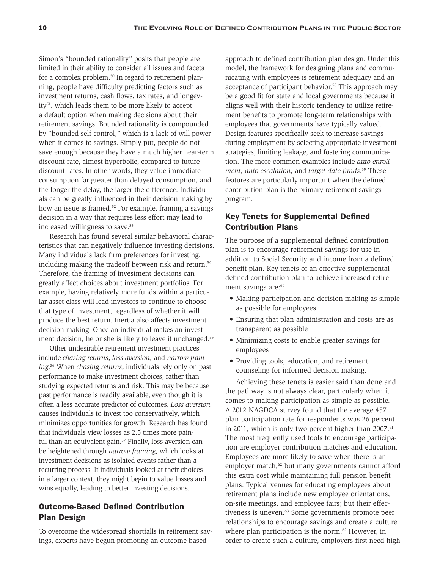Simon's "bounded rationality" posits that people are limited in their ability to consider all issues and facets for a complex problem.<sup>50</sup> In regard to retirement planning, people have difficulty predicting factors such as investment returns, cash flows, tax rates, and longevity51, which leads them to be more likely to accept a default option when making decisions about their retirement savings. Bounded rationality is compounded by "bounded self-control," which is a lack of will power when it comes to savings. Simply put, people do not save enough because they have a much higher near-term discount rate, almost hyperbolic, compared to future discount rates. In other words, they value immediate consumption far greater than delayed consumption, and the longer the delay, the larger the difference. Individuals can be greatly influenced in their decision making by how an issue is framed.<sup>52</sup> For example, framing a savings decision in a way that requires less effort may lead to increased willingness to save.<sup>53</sup>

Research has found several similar behavioral characteristics that can negatively influence investing decisions. Many individuals lack firm preferences for investing, including making the tradeoff between risk and return.<sup>54</sup> Therefore, the framing of investment decisions can greatly affect choices about investment portfolios. For example, having relatively more funds within a particular asset class will lead investors to continue to choose that type of investment, regardless of whether it will produce the best return. Inertia also affects investment decision making. Once an individual makes an investment decision, he or she is likely to leave it unchanged.<sup>55</sup>

Other undesirable retirement investment practices include *chasing returns*, *loss aversion*, and *narrow framing*. 56 When *chasing returns*, individuals rely only on past performance to make investment choices, rather than studying expected returns and risk. This may be because past performance is readily available, even though it is often a less accurate predictor of outcomes. *Loss aversion* causes individuals to invest too conservatively, which minimizes opportunities for growth. Research has found that individuals view losses as 2.5 times more painful than an equivalent gain.<sup>57</sup> Finally, loss aversion can be heightened through *narrow framing,* which looks at investment decisions as isolated events rather than a recurring process. If individuals looked at their choices in a larger context, they might begin to value losses and wins equally, leading to better investing decisions.

# Outcome-Based Defined Contribution Plan Design

To overcome the widespread shortfalls in retirement savings, experts have begun promoting an outcome-based

approach to defined contribution plan design. Under this model, the framework for designing plans and communicating with employees is retirement adequacy and an acceptance of participant behavior.<sup>58</sup> This approach may be a good fit for state and local governments because it aligns well with their historic tendency to utilize retirement benefits to promote long-term relationships with employees that governments have typically valued. Design features specifically seek to increase savings during employment by selecting appropriate investment strategies, limiting leakage, and fostering communication. The more common examples include *auto enrollment*, *auto escalation*, and *target date funds.59* These features are particularly important when the defined contribution plan is the primary retirement savings program.

# Key Tenets for Supplemental Defined Contribution Plans

The purpose of a supplemental defined contribution plan is to encourage retirement savings for use in addition to Social Security and income from a defined benefit plan. Key tenets of an effective supplemental defined contribution plan to achieve increased retirement savings are:<sup>60</sup>

- Making participation and decision making as simple as possible for employees
- Ensuring that plan administration and costs are as transparent as possible
- Minimizing costs to enable greater savings for employees
- Providing tools, education, and retirement counseling for informed decision making.

Achieving these tenets is easier said than done and the pathway is not always clear, particularly when it comes to making participation as simple as possible. A 2012 NAGDCA survey found that the average 457 plan participation rate for respondents was 26 percent in 2011, which is only two percent higher than  $2007$ .<sup>61</sup> The most frequently used tools to encourage participation are employer contribution matches and education. Employees are more likely to save when there is an employer match, $62$  but many governments cannot afford this extra cost while maintaining full pension benefit plans. Typical venues for educating employees about retirement plans include new employee orientations, on-site meetings, and employee fairs; but their effectiveness is uneven.<sup>63</sup> Some governments promote peer relationships to encourage savings and create a culture where plan participation is the norm.<sup>64</sup> However, in order to create such a culture, employers first need high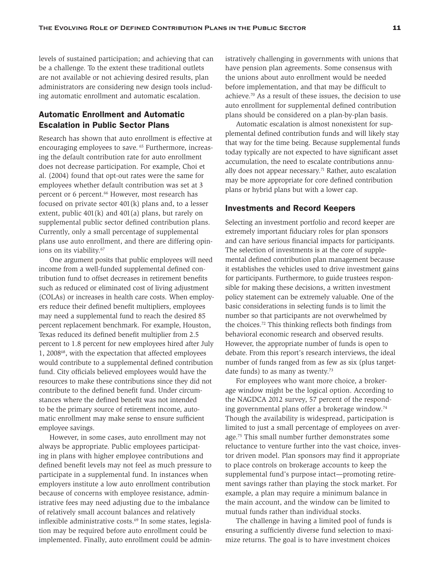levels of sustained participation; and achieving that can be a challenge. To the extent these traditional outlets are not available or not achieving desired results, plan administrators are considering new design tools including automatic enrollment and automatic escalation.

# Automatic Enrollment and Automatic Escalation in Public Sector Plans

Research has shown that auto enrollment is effective at encouraging employees to save. 65 Furthermore, increasing the default contribution rate for auto enrollment does not decrease participation. For example, Choi et al. (2004) found that opt-out rates were the same for employees whether default contribution was set at 3 percent or 6 percent.<sup>66</sup> However, most research has focused on private sector 401(k) plans and, to a lesser extent, public 401(k) and 401(a) plans, but rarely on supplemental public sector defined contribution plans. Currently, only a small percentage of supplemental plans use auto enrollment, and there are differing opinions on its viability.<sup>67</sup>

One argument posits that public employees will need income from a well-funded supplemental defined contribution fund to offset decreases in retirement benefits such as reduced or eliminated cost of living adjustment (COLAs) or increases in health care costs. When employers reduce their defined benefit multipliers, employees may need a supplemental fund to reach the desired 85 percent replacement benchmark. For example, Houston, Texas reduced its defined benefit multiplier from 2.5 percent to 1.8 percent for new employees hired after July 1, 200868, with the expectation that affected employees would contribute to a supplemental defined contribution fund. City officials believed employees would have the resources to make these contributions since they did not contribute to the defined benefit fund. Under circumstances where the defined benefit was not intended to be the primary source of retirement income, automatic enrollment may make sense to ensure sufficient employee savings.

However, in some cases, auto enrollment may not always be appropriate. Public employees participating in plans with higher employee contributions and defined benefit levels may not feel as much pressure to participate in a supplemental fund. In instances when employers institute a low auto enrollment contribution because of concerns with employee resistance, administrative fees may need adjusting due to the imbalance of relatively small account balances and relatively inflexible administrative costs.<sup>69</sup> In some states, legislation may be required before auto enrollment could be implemented. Finally, auto enrollment could be administratively challenging in governments with unions that have pension plan agreements. Some consensus with the unions about auto enrollment would be needed before implementation, and that may be difficult to achieve.70 As a result of these issues, the decision to use auto enrollment for supplemental defined contribution plans should be considered on a plan-by-plan basis.

Automatic escalation is almost nonexistent for supplemental defined contribution funds and will likely stay that way for the time being. Because supplemental funds today typically are not expected to have significant asset accumulation, the need to escalate contributions annually does not appear necessary.<sup>71</sup> Rather, auto escalation may be more appropriate for core defined contribution plans or hybrid plans but with a lower cap.

#### Investments and Record Keepers

Selecting an investment portfolio and record keeper are extremely important fiduciary roles for plan sponsors and can have serious financial impacts for participants. The selection of investments is at the core of supplemental defined contribution plan management because it establishes the vehicles used to drive investment gains for participants. Furthermore, to guide trustees responsible for making these decisions, a written investment policy statement can be extremely valuable. One of the basic considerations in selecting funds is to limit the number so that participants are not overwhelmed by the choices.72 This thinking reflects both findings from behavioral economic research and observed results. However, the appropriate number of funds is open to debate. From this report's research interviews, the ideal number of funds ranged from as few as six (plus targetdate funds) to as many as twenty.<sup>73</sup>

For employees who want more choice, a brokerage window might be the logical option. According to the NAGDCA 2012 survey, 57 percent of the responding governmental plans offer a brokerage window.74 Though the availability is widespread, participation is limited to just a small percentage of employees on average.75 This small number further demonstrates some reluctance to venture further into the vast choice, investor driven model. Plan sponsors may find it appropriate to place controls on brokerage accounts to keep the supplemental fund's purpose intact—promoting retirement savings rather than playing the stock market. For example, a plan may require a minimum balance in the main account, and the window can be limited to mutual funds rather than individual stocks.

The challenge in having a limited pool of funds is ensuring a sufficiently diverse fund selection to maximize returns. The goal is to have investment choices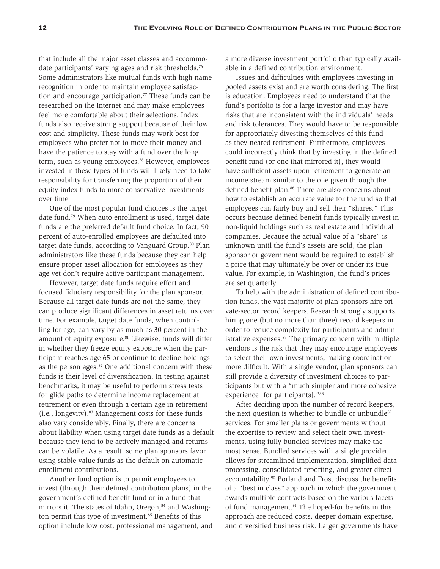that include all the major asset classes and accommodate participants' varying ages and risk thresholds.<sup>76</sup> Some administrators like mutual funds with high name recognition in order to maintain employee satisfaction and encourage participation.<sup>77</sup> These funds can be researched on the Internet and may make employees feel more comfortable about their selections. Index funds also receive strong support because of their low cost and simplicity. These funds may work best for employees who prefer not to move their money and have the patience to stay with a fund over the long term, such as young employees.<sup>78</sup> However, employees invested in these types of funds will likely need to take responsibility for transferring the proportion of their equity index funds to more conservative investments over time.

One of the most popular fund choices is the target date fund.79 When auto enrollment is used, target date funds are the preferred default fund choice. In fact, 90 percent of auto-enrolled employees are defaulted into target date funds, according to Vanguard Group.<sup>80</sup> Plan administrators like these funds because they can help ensure proper asset allocation for employees as they age yet don't require active participant management.

However, target date funds require effort and focused fiduciary responsibility for the plan sponsor. Because all target date funds are not the same, they can produce significant differences in asset returns over time. For example, target date funds, when controlling for age, can vary by as much as 30 percent in the amount of equity exposure.<sup>81</sup> Likewise, funds will differ in whether they freeze equity exposure when the participant reaches age 65 or continue to decline holdings as the person ages. $82$  One additional concern with these funds is their level of diversification. In testing against benchmarks, it may be useful to perform stress tests for glide paths to determine income replacement at retirement or even through a certain age in retirement  $(i.e., longivity).$ <sup>83</sup> Management costs for these funds also vary considerably. Finally, there are concerns about liability when using target date funds as a default because they tend to be actively managed and returns can be volatile. As a result, some plan sponsors favor using stable value funds as the default on automatic enrollment contributions.

Another fund option is to permit employees to invest (through their defined contribution plans) in the government's defined benefit fund or in a fund that mirrors it. The states of Idaho, Oregon,<sup>84</sup> and Washington permit this type of investment.<sup>85</sup> Benefits of this option include low cost, professional management, and a more diverse investment portfolio than typically available in a defined contribution environment.

Issues and difficulties with employees investing in pooled assets exist and are worth considering. The first is education. Employees need to understand that the fund's portfolio is for a large investor and may have risks that are inconsistent with the individuals' needs and risk tolerances. They would have to be responsible for appropriately divesting themselves of this fund as they neared retirement. Furthermore, employees could incorrectly think that by investing in the defined benefit fund (or one that mirrored it), they would have sufficient assets upon retirement to generate an income stream similar to the one given through the defined benefit plan.<sup>86</sup> There are also concerns about how to establish an accurate value for the fund so that employees can fairly buy and sell their "shares." This occurs because defined benefit funds typically invest in non-liquid holdings such as real estate and individual companies. Because the actual value of a "share" is unknown until the fund's assets are sold, the plan sponsor or government would be required to establish a price that may ultimately be over or under its true value. For example, in Washington, the fund's prices are set quarterly.

To help with the administration of defined contribution funds, the vast majority of plan sponsors hire private-sector record keepers. Research strongly supports hiring one (but no more than three) record keepers in order to reduce complexity for participants and administrative expenses.<sup>87</sup> The primary concern with multiple vendors is the risk that they may encourage employees to select their own investments, making coordination more difficult. With a single vendor, plan sponsors can still provide a diversity of investment choices to participants but with a "much simpler and more cohesive experience [for participants]."88

After deciding upon the number of record keepers, the next question is whether to bundle or unbundle<sup>89</sup> services. For smaller plans or governments without the expertise to review and select their own investments, using fully bundled services may make the most sense. Bundled services with a single provider allows for streamlined implementation, simplified data processing, consolidated reporting, and greater direct accountability.<sup>90</sup> Borland and Frost discuss the benefits of a "best in class" approach in which the government awards multiple contracts based on the various facets of fund management.<sup>91</sup> The hoped-for benefits in this approach are reduced costs, deeper domain expertise, and diversified business risk. Larger governments have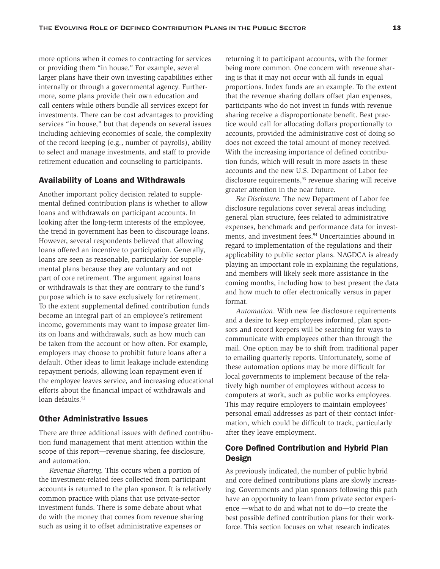more options when it comes to contracting for services or providing them "in house." For example, several larger plans have their own investing capabilities either internally or through a governmental agency. Furthermore, some plans provide their own education and call centers while others bundle all services except for investments. There can be cost advantages to providing services "in house," but that depends on several issues including achieving economies of scale, the complexity of the record keeping (e.g., number of payrolls), ability to select and manage investments, and staff to provide retirement education and counseling to participants.

#### Availability of Loans and Withdrawals

Another important policy decision related to supplemental defined contribution plans is whether to allow loans and withdrawals on participant accounts. In looking after the long-term interests of the employee, the trend in government has been to discourage loans. However, several respondents believed that allowing loans offered an incentive to participation. Generally, loans are seen as reasonable, particularly for supplemental plans because they are voluntary and not part of core retirement. The argument against loans or withdrawals is that they are contrary to the fund's purpose which is to save exclusively for retirement. To the extent supplemental defined contribution funds become an integral part of an employee's retirement income, governments may want to impose greater limits on loans and withdrawals, such as how much can be taken from the account or how often. For example, employers may choose to prohibit future loans after a default. Other ideas to limit leakage include extending repayment periods, allowing loan repayment even if the employee leaves service, and increasing educational efforts about the financial impact of withdrawals and loan defaults.92

### Other Administrative Issues

There are three additional issues with defined contribution fund management that merit attention within the scope of this report—revenue sharing, fee disclosure, and automation.

*Revenue Sharing.* This occurs when a portion of the investment-related fees collected from participant accounts is returned to the plan sponsor. It is relatively common practice with plans that use private-sector investment funds. There is some debate about what do with the money that comes from revenue sharing such as using it to offset administrative expenses or

returning it to participant accounts, with the former being more common. One concern with revenue sharing is that it may not occur with all funds in equal proportions. Index funds are an example. To the extent that the revenue sharing dollars offset plan expenses, participants who do not invest in funds with revenue sharing receive a disproportionate benefit. Best practice would call for allocating dollars proportionally to accounts, provided the administrative cost of doing so does not exceed the total amount of money received. With the increasing importance of defined contribution funds, which will result in more assets in these accounts and the new U.S. Department of Labor fee disclosure requirements,<sup>93</sup> revenue sharing will receive greater attention in the near future.

*Fee Disclosure.* The new Department of Labor fee disclosure regulations cover several areas including general plan structure, fees related to administrative expenses, benchmark and performance data for investments, and investment fees.<sup>94</sup> Uncertainties abound in regard to implementation of the regulations and their applicability to public sector plans. NAGDCA is already playing an important role in explaining the regulations, and members will likely seek more assistance in the coming months, including how to best present the data and how much to offer electronically versus in paper format.

*Automation*. With new fee disclosure requirements and a desire to keep employees informed, plan sponsors and record keepers will be searching for ways to communicate with employees other than through the mail. One option may be to shift from traditional paper to emailing quarterly reports. Unfortunately, some of these automation options may be more difficult for local governments to implement because of the relatively high number of employees without access to computers at work, such as public works employees. This may require employers to maintain employees' personal email addresses as part of their contact information, which could be difficult to track, particularly after they leave employment.

## Core Defined Contribution and Hybrid Plan **Design**

As previously indicated, the number of public hybrid and core defined contributions plans are slowly increasing. Governments and plan sponsors following this path have an opportunity to learn from private sector experience —what to do and what not to do—to create the best possible defined contribution plans for their workforce. This section focuses on what research indicates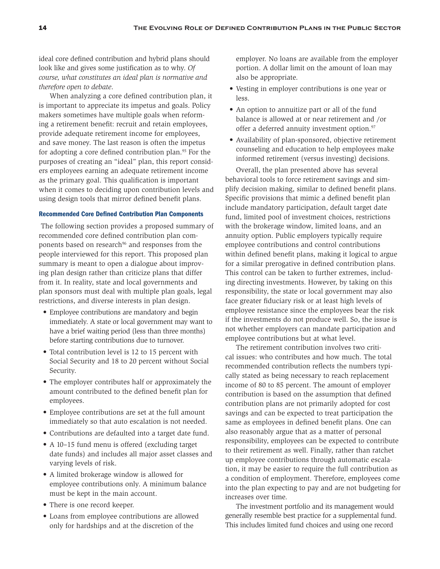ideal core defined contribution and hybrid plans should look like and gives some justification as to why. *Of course, what constitutes an ideal plan is normative and therefore open to debate*.

When analyzing a core defined contribution plan, it is important to appreciate its impetus and goals. Policy makers sometimes have multiple goals when reforming a retirement benefit: recruit and retain employees, provide adequate retirement income for employees, and save money. The last reason is often the impetus for adopting a core defined contribution plan.<sup>95</sup> For the purposes of creating an "ideal" plan, this report considers employees earning an adequate retirement income as the primary goal. This qualification is important when it comes to deciding upon contribution levels and using design tools that mirror defined benefit plans.

#### Recommended Core Defined Contribution Plan Components

 The following section provides a proposed summary of recommended core defined contribution plan components based on research<sup>96</sup> and responses from the people interviewed for this report. This proposed plan summary is meant to open a dialogue about improving plan design rather than criticize plans that differ from it. In reality, state and local governments and plan sponsors must deal with multiple plan goals, legal restrictions, and diverse interests in plan design.

- Employee contributions are mandatory and begin immediately. A state or local government may want to have a brief waiting period (less than three months) before starting contributions due to turnover.
- Total contribution level is 12 to 15 percent with Social Security and 18 to 20 percent without Social Security.
- The employer contributes half or approximately the amount contributed to the defined benefit plan for employees.
- Employee contributions are set at the full amount immediately so that auto escalation is not needed.
- Contributions are defaulted into a target date fund.
- A 10–15 fund menu is offered (excluding target date funds) and includes all major asset classes and varying levels of risk.
- A limited brokerage window is allowed for employee contributions only. A minimum balance must be kept in the main account.
- There is one record keeper.
- Loans from employee contributions are allowed only for hardships and at the discretion of the

employer. No loans are available from the employer portion. A dollar limit on the amount of loan may also be appropriate.

- Vesting in employer contributions is one year or less.
- An option to annuitize part or all of the fund balance is allowed at or near retirement and /or offer a deferred annuity investment option.<sup>97</sup>
- Availability of plan-sponsored, objective retirement counseling and education to help employees make informed retirement (versus investing) decisions.

Overall, the plan presented above has several behavioral tools to force retirement savings and simplify decision making, similar to defined benefit plans. Specific provisions that mimic a defined benefit plan include mandatory participation, default target date fund, limited pool of investment choices, restrictions with the brokerage window, limited loans, and an annuity option. Public employers typically require employee contributions and control contributions within defined benefit plans, making it logical to argue for a similar prerogative in defined contribution plans. This control can be taken to further extremes, including directing investments. However, by taking on this responsibility, the state or local government may also face greater fiduciary risk or at least high levels of employee resistance since the employees bear the risk if the investments do not produce well. So, the issue is not whether employers can mandate participation and employee contributions but at what level.

The retirement contribution involves two critical issues: who contributes and how much. The total recommended contribution reflects the numbers typically stated as being necessary to reach replacement income of 80 to 85 percent. The amount of employer contribution is based on the assumption that defined contribution plans are not primarily adopted for cost savings and can be expected to treat participation the same as employees in defined benefit plans. One can also reasonably argue that as a matter of personal responsibility, employees can be expected to contribute to their retirement as well. Finally, rather than ratchet up employee contributions through automatic escalation, it may be easier to require the full contribution as a condition of employment. Therefore, employees come into the plan expecting to pay and are not budgeting for increases over time.

The investment portfolio and its management would generally resemble best practice for a supplemental fund. This includes limited fund choices and using one record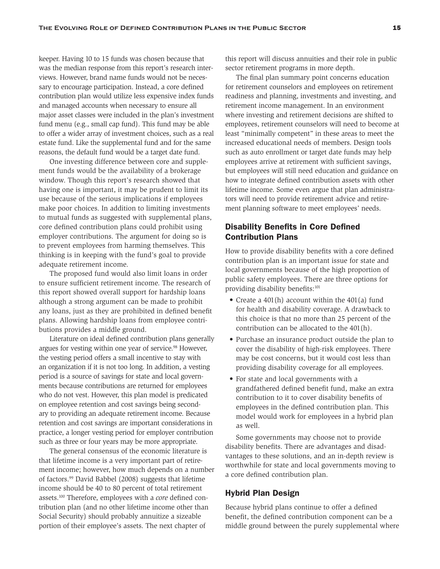keeper. Having 10 to 15 funds was chosen because that was the median response from this report's research interviews. However, brand name funds would not be necessary to encourage participation. Instead, a core defined contribution plan would utilize less expensive index funds and managed accounts when necessary to ensure all major asset classes were included in the plan's investment fund menu (e.g., small cap fund). This fund may be able to offer a wider array of investment choices, such as a real estate fund. Like the supplemental fund and for the same reasons, the default fund would be a target date fund.

One investing difference between core and supplement funds would be the availability of a brokerage window. Though this report's research showed that having one is important, it may be prudent to limit its use because of the serious implications if employees make poor choices. In addition to limiting investments to mutual funds as suggested with supplemental plans, core defined contribution plans could prohibit using employer contributions. The argument for doing so is to prevent employees from harming themselves. This thinking is in keeping with the fund's goal to provide adequate retirement income.

The proposed fund would also limit loans in order to ensure sufficient retirement income. The research of this report showed overall support for hardship loans although a strong argument can be made to prohibit any loans, just as they are prohibited in defined benefit plans. Allowing hardship loans from employee contributions provides a middle ground.

Literature on ideal defined contribution plans generally argues for vesting within one year of service.<sup>98</sup> However, the vesting period offers a small incentive to stay with an organization if it is not too long. In addition, a vesting period is a source of savings for state and local governments because contributions are returned for employees who do not vest. However, this plan model is predicated on employee retention and cost savings being secondary to providing an adequate retirement income. Because retention and cost savings are important considerations in practice, a longer vesting period for employer contribution such as three or four years may be more appropriate.

The general consensus of the economic literature is that lifetime income is a very important part of retirement income; however, how much depends on a number of factors.99 David Babbel (2008) suggests that lifetime income should be 40 to 80 percent of total retirement assets.100 Therefore, employees with a *core* defined contribution plan (and no other lifetime income other than Social Security) should probably annuitize a sizeable portion of their employee's assets. The next chapter of

this report will discuss annuities and their role in public sector retirement programs in more depth.

The final plan summary point concerns education for retirement counselors and employees on retirement readiness and planning, investments and investing, and retirement income management. In an environment where investing and retirement decisions are shifted to employees, retirement counselors will need to become at least "minimally competent" in these areas to meet the increased educational needs of members. Design tools such as auto enrollment or target date funds may help employees arrive at retirement with sufficient savings, but employees will still need education and guidance on how to integrate defined contribution assets with other lifetime income. Some even argue that plan administrators will need to provide retirement advice and retirement planning software to meet employees' needs.

# Disability Benefits in Core Defined Contribution Plans

How to provide disability benefits with a core defined contribution plan is an important issue for state and local governments because of the high proportion of public safety employees. There are three options for providing disability benefits:<sup>101</sup>

- Create a 401(h) account within the 401(a) fund for health and disability coverage. A drawback to this choice is that no more than 25 percent of the contribution can be allocated to the 401(h).
- Purchase an insurance product outside the plan to cover the disability of high-risk employees. There may be cost concerns, but it would cost less than providing disability coverage for all employees.
- For state and local governments with a grandfathered defined benefit fund, make an extra contribution to it to cover disability benefits of employees in the defined contribution plan. This model would work for employees in a hybrid plan as well.

Some governments may choose not to provide disability benefits. There are advantages and disadvantages to these solutions, and an in-depth review is worthwhile for state and local governments moving to a core defined contribution plan.

### Hybrid Plan Design

Because hybrid plans continue to offer a defined benefit, the defined contribution component can be a middle ground between the purely supplemental where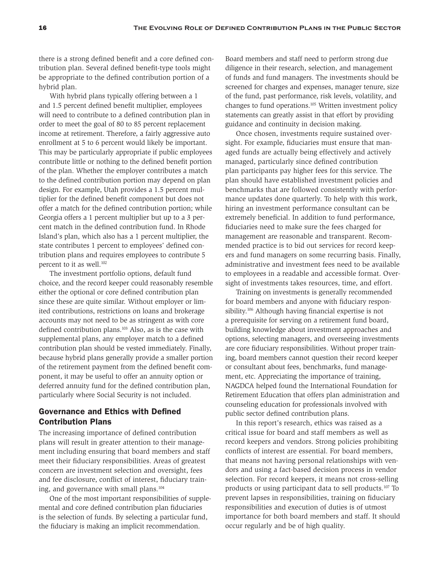there is a strong defined benefit and a core defined contribution plan. Several defined benefit-type tools might be appropriate to the defined contribution portion of a hybrid plan.

With hybrid plans typically offering between a 1 and 1.5 percent defined benefit multiplier, employees will need to contribute to a defined contribution plan in order to meet the goal of 80 to 85 percent replacement income at retirement. Therefore, a fairly aggressive auto enrollment at 5 to 6 percent would likely be important. This may be particularly appropriate if public employees contribute little or nothing to the defined benefit portion of the plan. Whether the employer contributes a match to the defined contribution portion may depend on plan design. For example, Utah provides a 1.5 percent multiplier for the defined benefit component but does not offer a match for the defined contribution portion; while Georgia offers a 1 percent multiplier but up to a 3 percent match in the defined contribution fund. In Rhode Island's plan, which also has a 1 percent multiplier, the state contributes 1 percent to employees' defined contribution plans and requires employees to contribute 5 percent to it as well.<sup>102</sup>

The investment portfolio options, default fund choice, and the record keeper could reasonably resemble either the optional or core defined contribution plan since these are quite similar. Without employer or limited contributions, restrictions on loans and brokerage accounts may not need to be as stringent as with core defined contribution plans.103 Also, as is the case with supplemental plans, any employer match to a defined contribution plan should be vested immediately. Finally, because hybrid plans generally provide a smaller portion of the retirement payment from the defined benefit component, it may be useful to offer an annuity option or deferred annuity fund for the defined contribution plan, particularly where Social Security is not included.

## Governance and Ethics with Defined Contribution Plans

The increasing importance of defined contribution plans will result in greater attention to their management including ensuring that board members and staff meet their fiduciary responsibilities. Areas of greatest concern are investment selection and oversight, fees and fee disclosure, conflict of interest, fiduciary training, and governance with small plans.<sup>104</sup>

One of the most important responsibilities of supplemental and core defined contribution plan fiduciaries is the selection of funds. By selecting a particular fund, the fiduciary is making an implicit recommendation.

Board members and staff need to perform strong due diligence in their research, selection, and management of funds and fund managers. The investments should be screened for charges and expenses, manager tenure, size of the fund, past performance, risk levels, volatility, and changes to fund operations.105 Written investment policy statements can greatly assist in that effort by providing guidance and continuity in decision making.

Once chosen, investments require sustained oversight. For example, fiduciaries must ensure that managed funds are actually being effectively and actively managed, particularly since defined contribution plan participants pay higher fees for this service. The plan should have established investment policies and benchmarks that are followed consistently with performance updates done quarterly. To help with this work, hiring an investment performance consultant can be extremely beneficial. In addition to fund performance, fiduciaries need to make sure the fees charged for management are reasonable and transparent. Recommended practice is to bid out services for record keepers and fund managers on some recurring basis. Finally, administrative and investment fees need to be available to employees in a readable and accessible format. Oversight of investments takes resources, time, and effort.

Training on investments is generally recommended for board members and anyone with fiduciary responsibility.106 Although having financial expertise is not a prerequisite for serving on a retirement fund board, building knowledge about investment approaches and options, selecting managers, and overseeing investments are core fiduciary responsibilities. Without proper training, board members cannot question their record keeper or consultant about fees, benchmarks, fund management, etc. Appreciating the importance of training, NAGDCA helped found the International Foundation for Retirement Education that offers plan administration and counseling education for professionals involved with public sector defined contribution plans.

In this report's research, ethics was raised as a critical issue for board and staff members as well as record keepers and vendors. Strong policies prohibiting conflicts of interest are essential. For board members, that means not having personal relationships with vendors and using a fact-based decision process in vendor selection. For record keepers, it means not cross-selling products or using participant data to sell products.107 To prevent lapses in responsibilities, training on fiduciary responsibilities and execution of duties is of utmost importance for both board members and staff. It should occur regularly and be of high quality.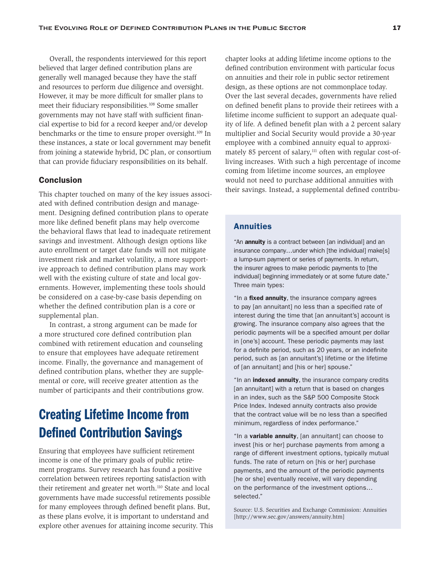Overall, the respondents interviewed for this report believed that larger defined contribution plans are generally well managed because they have the staff and resources to perform due diligence and oversight. However, it may be more difficult for smaller plans to meet their fiduciary responsibilities.108 Some smaller governments may not have staff with sufficient financial expertise to bid for a record keeper and/or develop benchmarks or the time to ensure proper oversight.<sup>109</sup> In these instances, a state or local government may benefit from joining a statewide hybrid, DC plan, or consortium that can provide fiduciary responsibilities on its behalf.

#### Conclusion

This chapter touched on many of the key issues associated with defined contribution design and management. Designing defined contribution plans to operate more like defined benefit plans may help overcome the behavioral flaws that lead to inadequate retirement savings and investment. Although design options like auto enrollment or target date funds will not mitigate investment risk and market volatility, a more supportive approach to defined contribution plans may work well with the existing culture of state and local governments. However, implementing these tools should be considered on a case-by-case basis depending on whether the defined contribution plan is a core or supplemental plan.

In contrast, a strong argument can be made for a more structured core defined contribution plan combined with retirement education and counseling to ensure that employees have adequate retirement income. Finally, the governance and management of defined contribution plans, whether they are supplemental or core, will receive greater attention as the number of participants and their contributions grow.

# Creating Lifetime Income from Defined Contribution Savings

Ensuring that employees have sufficient retirement income is one of the primary goals of public retirement programs. Survey research has found a positive correlation between retirees reporting satisfaction with their retirement and greater net worth.<sup>110</sup> State and local governments have made successful retirements possible for many employees through defined benefit plans. But, as these plans evolve, it is important to understand and explore other avenues for attaining income security. This

chapter looks at adding lifetime income options to the defined contribution environment with particular focus on annuities and their role in public sector retirement design, as these options are not commonplace today. Over the last several decades, governments have relied on defined benefit plans to provide their retirees with a lifetime income sufficient to support an adequate quality of life. A defined benefit plan with a 2 percent salary multiplier and Social Security would provide a 30-year employee with a combined annuity equal to approximately 85 percent of salary,<sup>111</sup> often with regular cost-ofliving increases. With such a high percentage of income coming from lifetime income sources, an employee would not need to purchase additional annuities with their savings. Instead, a supplemental defined contribu-

### Annuities

"An **annuity** is a contract between [an individual] and an insurance company…under which [the individual] make[s] a lump-sum payment or series of payments. In return, the insurer agrees to make periodic payments to [the individual] beginning immediately or at some future date." Three main types:

"In a fixed annuity, the insurance company agrees to pay [an annuitant] no less than a specified rate of interest during the time that [an annuitant's] account is growing. The insurance company also agrees that the periodic payments will be a specified amount per dollar in [one's] account. These periodic payments may last for a definite period, such as 20 years, or an indefinite period, such as [an annuitant's] lifetime or the lifetime of [an annuitant] and [his or her] spouse."

"In an **indexed annuity**, the insurance company credits [an annuitant] with a return that is based on changes in an index, such as the S&P 500 Composite Stock Price Index. Indexed annuity contracts also provide that the contract value will be no less than a specified minimum, regardless of index performance."

"In a variable annuity, [an annuitant] can choose to invest [his or her] purchase payments from among a range of different investment options, typically mutual funds. The rate of return on [his or her] purchase payments, and the amount of the periodic payments [he or she] eventually receive, will vary depending on the performance of the investment options… selected."

Source: U.S. Securities and Exchange Commission: Annuities [http://www.sec.gov/answers/annuity.htm]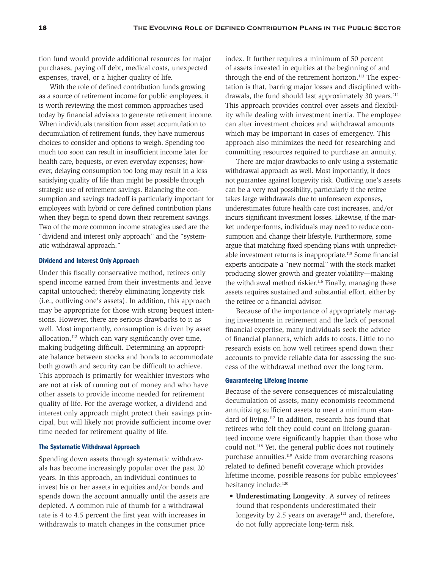tion fund would provide additional resources for major purchases, paying off debt, medical costs, unexpected expenses, travel, or a higher quality of life.

With the role of defined contribution funds growing as a source of retirement income for public employees, it is worth reviewing the most common approaches used today by financial advisors to generate retirement income. When individuals transition from asset accumulation to decumulation of retirement funds, they have numerous choices to consider and options to weigh. Spending too much too soon can result in insufficient income later for health care, bequests, or even everyday expenses; however, delaying consumption too long may result in a less satisfying quality of life than might be possible through strategic use of retirement savings. Balancing the consumption and savings tradeoff is particularly important for employees with hybrid or core defined contribution plans when they begin to spend down their retirement savings. Two of the more common income strategies used are the "dividend and interest only approach" and the "systematic withdrawal approach."

#### Dividend and Interest Only Approach

Under this fiscally conservative method, retirees only spend income earned from their investments and leave capital untouched; thereby eliminating longevity risk (i.e., outliving one's assets). In addition, this approach may be appropriate for those with strong bequest intensions. However, there are serious drawbacks to it as well. Most importantly, consumption is driven by asset allocation, $112$  which can vary significantly over time, making budgeting difficult. Determining an appropriate balance between stocks and bonds to accommodate both growth and security can be difficult to achieve. This approach is primarily for wealthier investors who are not at risk of running out of money and who have other assets to provide income needed for retirement quality of life. For the average worker, a dividend and interest only approach might protect their savings principal, but will likely not provide sufficient income over time needed for retirement quality of life.

#### The Systematic Withdrawal Approach

Spending down assets through systematic withdrawals has become increasingly popular over the past 20 years. In this approach, an individual continues to invest his or her assets in equities and/or bonds and spends down the account annually until the assets are depleted. A common rule of thumb for a withdrawal rate is 4 to 4.5 percent the first year with increases in withdrawals to match changes in the consumer price

index. It further requires a minimum of 50 percent of assets invested in equities at the beginning of and through the end of the retirement horizon.<sup>113</sup> The expectation is that, barring major losses and disciplined withdrawals, the fund should last approximately 30 years.<sup>114</sup> This approach provides control over assets and flexibility while dealing with investment inertia. The employee can alter investment choices and withdrawal amounts which may be important in cases of emergency. This approach also minimizes the need for researching and committing resources required to purchase an annuity.

There are major drawbacks to only using a systematic withdrawal approach as well. Most importantly, it does not guarantee against longevity risk. Outliving one's assets can be a very real possibility, particularly if the retiree takes large withdrawals due to unforeseen expenses, underestimates future health care cost increases, and/or incurs significant investment losses. Likewise, if the market underperforms, individuals may need to reduce consumption and change their lifestyle. Furthermore, some argue that matching fixed spending plans with unpredictable investment returns is inappropriate.<sup>115</sup> Some financial experts anticipate a "new normal" with the stock market producing slower growth and greater volatility—making the withdrawal method riskier.<sup>116</sup> Finally, managing these assets requires sustained and substantial effort, either by the retiree or a financial advisor.

Because of the importance of appropriately managing investments in retirement and the lack of personal financial expertise, many individuals seek the advice of financial planners, which adds to costs. Little to no research exists on how well retirees spend down their accounts to provide reliable data for assessing the success of the withdrawal method over the long term.

#### Guaranteeing Lifelong Income

Because of the severe consequences of miscalculating decumulation of assets, many economists recommend annuitizing sufficient assets to meet a minimum standard of living.117 In addition, research has found that retirees who felt they could count on lifelong guaranteed income were significantly happier than those who could not.118 Yet, the general public does not routinely purchase annuities.119 Aside from overarching reasons related to defined benefit coverage which provides lifetime income, possible reasons for public employees' hesitancy include:<sup>120</sup>

**• Underestimating Longevity**. A survey of retirees found that respondents underestimated their longevity by 2.5 years on average<sup>121</sup> and, therefore, do not fully appreciate long-term risk.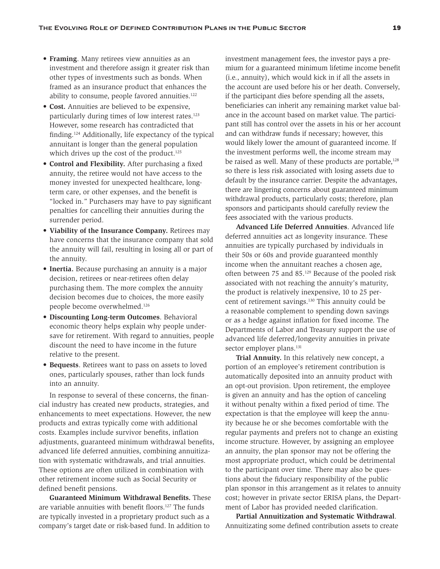- **• Framing**. Many retirees view annuities as an investment and therefore assign it greater risk than other types of investments such as bonds. When framed as an insurance product that enhances the ability to consume, people favored annuities.<sup>122</sup>
- **• Cost.** Annuities are believed to be expensive, particularly during times of low interest rates.<sup>123</sup> However, some research has contradicted that finding.124 Additionally, life expectancy of the typical annuitant is longer than the general population which drives up the cost of the product.<sup>125</sup>
- **• Control and Flexibility.** After purchasing a fixed annuity, the retiree would not have access to the money invested for unexpected healthcare, longterm care, or other expenses, and the benefit is "locked in." Purchasers may have to pay significant penalties for cancelling their annuities during the surrender period.
- **• Viability of the Insurance Company.** Retirees may have concerns that the insurance company that sold the annuity will fail, resulting in losing all or part of the annuity.
- **• Inertia.** Because purchasing an annuity is a major decision, retirees or near-retirees often delay purchasing them. The more complex the annuity decision becomes due to choices, the more easily people become overwhelmed.126
- **• Discounting Long-term Outcomes**. Behavioral economic theory helps explain why people undersave for retirement. With regard to annuities, people discount the need to have income in the future relative to the present.
- **• Bequests**. Retirees want to pass on assets to loved ones, particularly spouses, rather than lock funds into an annuity.

In response to several of these concerns, the financial industry has created new products, strategies, and enhancements to meet expectations. However, the new products and extras typically come with additional costs. Examples include survivor benefits, inflation adjustments, guaranteed minimum withdrawal benefits, advanced life deferred annuities, combining annuitization with systematic withdrawals, and trial annuities. These options are often utilized in combination with other retirement income such as Social Security or defined benefit pensions.

**Guaranteed Minimum Withdrawal Benefits.** These are variable annuities with benefit floors.127 The funds are typically invested in a proprietary product such as a company's target date or risk-based fund. In addition to

investment management fees, the investor pays a premium for a guaranteed minimum lifetime income benefit (i.e., annuity), which would kick in if all the assets in the account are used before his or her death. Conversely, if the participant dies before spending all the assets, beneficiaries can inherit any remaining market value balance in the account based on market value. The participant still has control over the assets in his or her account and can withdraw funds if necessary; however, this would likely lower the amount of guaranteed income. If the investment performs well, the income stream may be raised as well. Many of these products are portable,<sup>128</sup> so there is less risk associated with losing assets due to default by the insurance carrier. Despite the advantages, there are lingering concerns about guaranteed minimum withdrawal products, particularly costs; therefore, plan sponsors and participants should carefully review the fees associated with the various products.

**Advanced Life Deferred Annuities**. Advanced life deferred annuities act as longevity insurance. These annuities are typically purchased by individuals in their 50s or 60s and provide guaranteed monthly income when the annuitant reaches a chosen age, often between 75 and 85.129 Because of the pooled risk associated with not reaching the annuity's maturity, the product is relatively inexpensive, 10 to 25 percent of retirement savings.130 This annuity could be a reasonable complement to spending down savings or as a hedge against inflation for fixed income. The Departments of Labor and Treasury support the use of advanced life deferred/longevity annuities in private sector employer plans.<sup>131</sup>

**Trial Annuity.** In this relatively new concept, a portion of an employee's retirement contribution is automatically deposited into an annuity product with an opt-out provision. Upon retirement, the employee is given an annuity and has the option of canceling it without penalty within a fixed period of time. The expectation is that the employee will keep the annuity because he or she becomes comfortable with the regular payments and prefers not to change an existing income structure. However, by assigning an employee an annuity, the plan sponsor may not be offering the most appropriate product, which could be detrimental to the participant over time. There may also be questions about the fiduciary responsibility of the public plan sponsor in this arrangement as it relates to annuity cost; however in private sector ERISA plans, the Department of Labor has provided needed clarification.

**Partial Annuitization and Systematic Withdrawal**. Annuitizating some defined contribution assets to create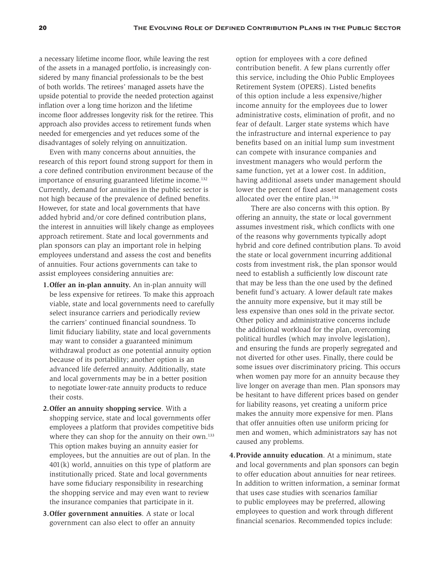a necessary lifetime income floor, while leaving the rest of the assets in a managed portfolio, is increasingly considered by many financial professionals to be the best of both worlds. The retirees' managed assets have the upside potential to provide the needed protection against inflation over a long time horizon and the lifetime income floor addresses longevity risk for the retiree. This approach also provides access to retirement funds when needed for emergencies and yet reduces some of the disadvantages of solely relying on annuitization.

Even with many concerns about annuities, the research of this report found strong support for them in a core defined contribution environment because of the importance of ensuring guaranteed lifetime income.<sup>132</sup> Currently, demand for annuities in the public sector is not high because of the prevalence of defined benefits. However, for state and local governments that have added hybrid and/or core defined contribution plans, the interest in annuities will likely change as employees approach retirement. State and local governments and plan sponsors can play an important role in helping employees understand and assess the cost and benefits of annuities. Four actions governments can take to assist employees considering annuities are:

- **1.Offer an in-plan annuity.** An in-plan annuity will be less expensive for retirees. To make this approach viable, state and local governments need to carefully select insurance carriers and periodically review the carriers' continued financial soundness. To limit fiduciary liability, state and local governments may want to consider a guaranteed minimum withdrawal product as one potential annuity option because of its portability; another option is an advanced life deferred annuity. Additionally, state and local governments may be in a better position to negotiate lower-rate annuity products to reduce their costs.
- **2.Offer an annuity shopping service**. With a shopping service, state and local governments offer employees a platform that provides competitive bids where they can shop for the annuity on their own.<sup>133</sup> This option makes buying an annuity easier for employees, but the annuities are out of plan. In the 401(k) world, annuities on this type of platform are institutionally priced. State and local governments have some fiduciary responsibility in researching the shopping service and may even want to review the insurance companies that participate in it.
- **3.Offer government annuities**. A state or local government can also elect to offer an annuity

option for employees with a core defined contribution benefit. A few plans currently offer this service, including the Ohio Public Employees Retirement System (OPERS). Listed benefits of this option include a less expensive/higher income annuity for the employees due to lower administrative costs, elimination of profit, and no fear of default. Larger state systems which have the infrastructure and internal experience to pay benefits based on an initial lump sum investment can compete with insurance companies and investment managers who would perform the same function, yet at a lower cost. In addition, having additional assets under management should lower the percent of fixed asset management costs allocated over the entire plan.134

 There are also concerns with this option. By offering an annuity, the state or local government assumes investment risk, which conflicts with one of the reasons why governments typically adopt hybrid and core defined contribution plans. To avoid the state or local government incurring additional costs from investment risk, the plan sponsor would need to establish a sufficiently low discount rate that may be less than the one used by the defined benefit fund's actuary. A lower default rate makes the annuity more expensive, but it may still be less expensive than ones sold in the private sector. Other policy and administrative concerns include the additional workload for the plan, overcoming political hurdles (which may involve legislation), and ensuring the funds are properly segregated and not diverted for other uses. Finally, there could be some issues over discriminatory pricing. This occurs when women pay more for an annuity because they live longer on average than men. Plan sponsors may be hesitant to have different prices based on gender for liability reasons, yet creating a uniform price makes the annuity more expensive for men. Plans that offer annuities often use uniform pricing for men and women, which administrators say has not caused any problems.

**4.Provide annuity education**. At a minimum, state and local governments and plan sponsors can begin to offer education about annuities for near retirees. In addition to written information, a seminar format that uses case studies with scenarios familiar to public employees may be preferred, allowing employees to question and work through different financial scenarios. Recommended topics include: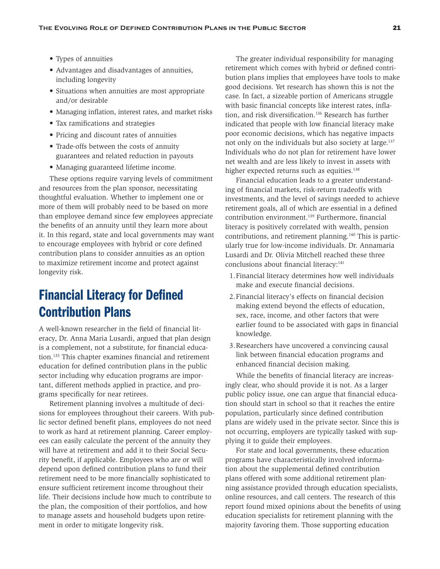- Types of annuities
- Advantages and disadvantages of annuities, including longevity
- Situations when annuities are most appropriate and/or desirable
- Managing inflation, interest rates, and market risks
- Tax ramifications and strategies
- Pricing and discount rates of annuities
- Trade-offs between the costs of annuity guarantees and related reduction in payouts
- Managing guaranteed lifetime income.

These options require varying levels of commitment and resources from the plan sponsor, necessitating thoughtful evaluation. Whether to implement one or more of them will probably need to be based on more than employee demand since few employees appreciate the benefits of an annuity until they learn more about it. In this regard, state and local governments may want to encourage employees with hybrid or core defined contribution plans to consider annuities as an option to maximize retirement income and protect against longevity risk.

# Financial Literacy for Defined Contribution Plans

A well-known researcher in the field of financial literacy, Dr. Anna Maria Lusardi, argued that plan design is a complement, not a substitute, for financial education.135 This chapter examines financial and retirement education for defined contribution plans in the public sector including why education programs are important, different methods applied in practice, and programs specifically for near retirees.

Retirement planning involves a multitude of decisions for employees throughout their careers. With public sector defined benefit plans, employees do not need to work as hard at retirement planning. Career employees can easily calculate the percent of the annuity they will have at retirement and add it to their Social Security benefit, if applicable. Employees who are or will depend upon defined contribution plans to fund their retirement need to be more financially sophisticated to ensure sufficient retirement income throughout their life. Their decisions include how much to contribute to the plan, the composition of their portfolios, and how to manage assets and household budgets upon retirement in order to mitigate longevity risk.

The greater individual responsibility for managing retirement which comes with hybrid or defined contribution plans implies that employees have tools to make good decisions. Yet research has shown this is not the case. In fact, a sizeable portion of Americans struggle with basic financial concepts like interest rates, inflation, and risk diversification.<sup>136</sup> Research has further indicated that people with low financial literacy make poor economic decisions, which has negative impacts not only on the individuals but also society at large.137 Individuals who do not plan for retirement have lower net wealth and are less likely to invest in assets with higher expected returns such as equities.<sup>138</sup>

Financial education leads to a greater understanding of financial markets, risk-return tradeoffs with investments, and the level of savings needed to achieve retirement goals, all of which are essential in a defined contribution environment.<sup>139</sup> Furthermore, financial literacy is positively correlated with wealth, pension contributions, and retirement planning.140 This is particularly true for low-income individuals. Dr. Annamaria Lusardi and Dr. Olivia Mitchell reached these three conclusions about financial literacy:<sup>141</sup>

- 1.Financial literacy determines how well individuals make and execute financial decisions.
- 2.Financial literacy's effects on financial decision making extend beyond the effects of education, sex, race, income, and other factors that were earlier found to be associated with gaps in financial knowledge.
- 3.Researchers have uncovered a convincing causal link between financial education programs and enhanced financial decision making.

While the benefits of financial literacy are increasingly clear, who should provide it is not. As a larger public policy issue, one can argue that financial education should start in school so that it reaches the entire population, particularly since defined contribution plans are widely used in the private sector. Since this is not occurring, employers are typically tasked with supplying it to guide their employees.

For state and local governments, these education programs have characteristically involved information about the supplemental defined contribution plans offered with some additional retirement planning assistance provided through education specialists, online resources, and call centers. The research of this report found mixed opinions about the benefits of using education specialists for retirement planning with the majority favoring them. Those supporting education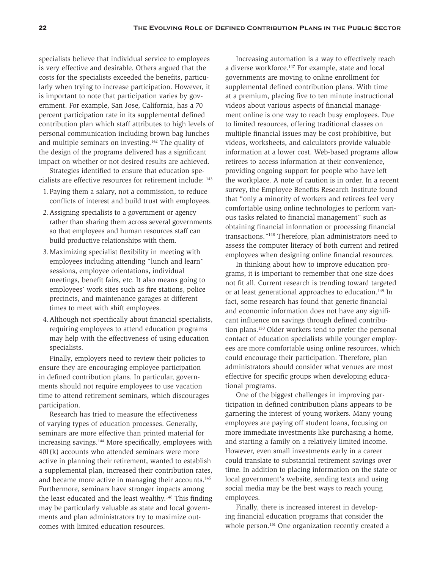specialists believe that individual service to employees is very effective and desirable. Others argued that the costs for the specialists exceeded the benefits, particularly when trying to increase participation. However, it is important to note that participation varies by government. For example, San Jose, California, has a 70 percent participation rate in its supplemental defined contribution plan which staff attributes to high levels of personal communication including brown bag lunches and multiple seminars on investing.142 The quality of the design of the programs delivered has a significant impact on whether or not desired results are achieved.

Strategies identified to ensure that education specialists are effective resources for retirement include: 143

- 1.Paying them a salary, not a commission, to reduce conflicts of interest and build trust with employees.
- 2.Assigning specialists to a government or agency rather than sharing them across several governments so that employees and human resources staff can build productive relationships with them.
- 3.Maximizing specialist flexibility in meeting with employees including attending "lunch and learn" sessions, employee orientations, individual meetings, benefit fairs, etc. It also means going to employees' work sites such as fire stations, police precincts, and maintenance garages at different times to meet with shift employees.
- 4.Although not specifically about financial specialists, requiring employees to attend education programs may help with the effectiveness of using education specialists.

Finally, employers need to review their policies to ensure they are encouraging employee participation in defined contribution plans. In particular, governments should not require employees to use vacation time to attend retirement seminars, which discourages participation.

Research has tried to measure the effectiveness of varying types of education processes. Generally, seminars are more effective than printed material for increasing savings.144 More specifically, employees with 401(k) accounts who attended seminars were more active in planning their retirement, wanted to establish a supplemental plan, increased their contribution rates, and became more active in managing their accounts.<sup>145</sup> Furthermore, seminars have stronger impacts among the least educated and the least wealthy.<sup>146</sup> This finding may be particularly valuable as state and local governments and plan administrators try to maximize outcomes with limited education resources.

Increasing automation is a way to effectively reach a diverse workforce.147 For example, state and local governments are moving to online enrollment for supplemental defined contribution plans. With time at a premium, placing five to ten minute instructional videos about various aspects of financial management online is one way to reach busy employees. Due to limited resources, offering traditional classes on multiple financial issues may be cost prohibitive, but videos, worksheets, and calculators provide valuable information at a lower cost. Web-based programs allow retirees to access information at their convenience, providing ongoing support for people who have left the workplace. A note of caution is in order. In a recent survey, the Employee Benefits Research Institute found that "only a minority of workers and retirees feel very comfortable using online technologies to perform various tasks related to financial management" such as obtaining financial information or processing financial transactions."148 Therefore, plan administrators need to assess the computer literacy of both current and retired employees when designing online financial resources.

In thinking about how to improve education programs, it is important to remember that one size does not fit all. Current research is trending toward targeted or at least generational approaches to education.<sup>149</sup> In fact, some research has found that generic financial and economic information does not have any significant influence on savings through defined contribution plans.150 Older workers tend to prefer the personal contact of education specialists while younger employees are more comfortable using online resources, which could encourage their participation. Therefore, plan administrators should consider what venues are most effective for specific groups when developing educational programs.

One of the biggest challenges in improving participation in defined contribution plans appears to be garnering the interest of young workers. Many young employees are paying off student loans, focusing on more immediate investments like purchasing a home, and starting a family on a relatively limited income. However, even small investments early in a career could translate to substantial retirement savings over time. In addition to placing information on the state or local government's website, sending texts and using social media may be the best ways to reach young employees.

Finally, there is increased interest in developing financial education programs that consider the whole person.<sup>151</sup> One organization recently created a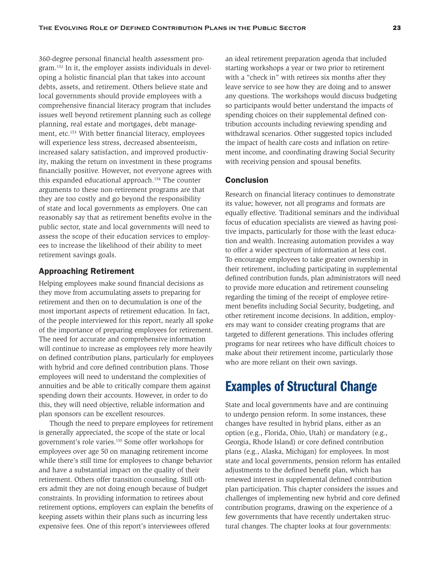360-degree personal financial health assessment program.152 In it, the employer assists individuals in developing a holistic financial plan that takes into account debts, assets, and retirement. Others believe state and local governments should provide employees with a comprehensive financial literacy program that includes issues well beyond retirement planning such as college planning, real estate and mortgages, debt management, etc.<sup>153</sup> With better financial literacy, employees will experience less stress, decreased absenteeism, increased salary satisfaction, and improved productivity, making the return on investment in these programs financially positive. However, not everyone agrees with this expanded educational approach.<sup>154</sup> The counter arguments to these non-retirement programs are that they are too costly and go beyond the responsibility of state and local governments as employers. One can reasonably say that as retirement benefits evolve in the public sector, state and local governments will need to assess the scope of their education services to employees to increase the likelihood of their ability to meet retirement savings goals.

#### Approaching Retirement

Helping employees make sound financial decisions as they move from accumulating assets to preparing for retirement and then on to decumulation is one of the most important aspects of retirement education. In fact, of the people interviewed for this report, nearly all spoke of the importance of preparing employees for retirement. The need for accurate and comprehensive information will continue to increase as employees rely more heavily on defined contribution plans, particularly for employees with hybrid and core defined contribution plans. Those employees will need to understand the complexities of annuities and be able to critically compare them against spending down their accounts. However, in order to do this, they will need objective, reliable information and plan sponsors can be excellent resources.

Though the need to prepare employees for retirement is generally appreciated, the scope of the state or local government's role varies.155 Some offer workshops for employees over age 50 on managing retirement income while there's still time for employees to change behavior and have a substantial impact on the quality of their retirement. Others offer transition counseling. Still others admit they are not doing enough because of budget constraints. In providing information to retirees about retirement options, employers can explain the benefits of keeping assets within their plans such as incurring less expensive fees. One of this report's interviewees offered

an ideal retirement preparation agenda that included starting workshops a year or two prior to retirement with a "check in" with retirees six months after they leave service to see how they are doing and to answer any questions. The workshops would discuss budgeting so participants would better understand the impacts of spending choices on their supplemental defined contribution accounts including reviewing spending and withdrawal scenarios. Other suggested topics included the impact of health care costs and inflation on retirement income, and coordinating drawing Social Security with receiving pension and spousal benefits.

#### **Conclusion**

Research on financial literacy continues to demonstrate its value; however, not all programs and formats are equally effective. Traditional seminars and the individual focus of education specialists are viewed as having positive impacts, particularly for those with the least education and wealth. Increasing automation provides a way to offer a wider spectrum of information at less cost. To encourage employees to take greater ownership in their retirement, including participating in supplemental defined contribution funds, plan administrators will need to provide more education and retirement counseling regarding the timing of the receipt of employee retirement benefits including Social Security, budgeting, and other retirement income decisions. In addition, employers may want to consider creating programs that are targeted to different generations. This includes offering programs for near retirees who have difficult choices to make about their retirement income, particularly those who are more reliant on their own savings.

# Examples of Structural Change

State and local governments have and are continuing to undergo pension reform. In some instances, these changes have resulted in hybrid plans, either as an option (e.g., Florida, Ohio, Utah) or mandatory (e.g., Georgia, Rhode Island) or core defined contribution plans (e.g., Alaska, Michigan) for employees. In most state and local governments, pension reform has entailed adjustments to the defined benefit plan, which has renewed interest in supplemental defined contribution plan participation. This chapter considers the issues and challenges of implementing new hybrid and core defined contribution programs, drawing on the experience of a few governments that have recently undertaken structural changes. The chapter looks at four governments: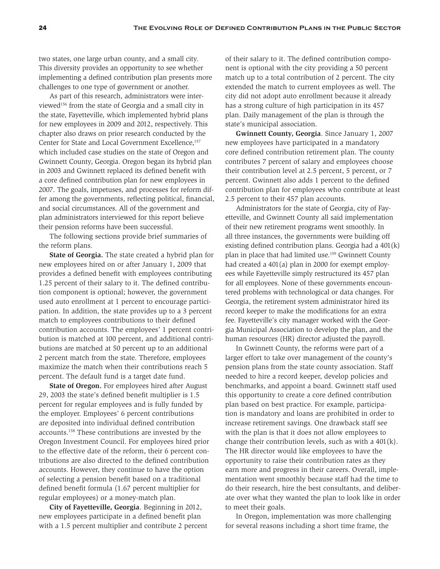two states, one large urban county, and a small city. This diversity provides an opportunity to see whether implementing a defined contribution plan presents more challenges to one type of government or another.

As part of this research, administrators were interviewed156 from the state of Georgia and a small city in the state, Fayetteville, which implemented hybrid plans for new employees in 2009 and 2012, respectively. This chapter also draws on prior research conducted by the Center for State and Local Government Excellence,<sup>157</sup> which included case studies on the state of Oregon and Gwinnett County, Georgia. Oregon began its hybrid plan in 2003 and Gwinnett replaced its defined benefit with a core defined contribution plan for new employees in 2007. The goals, impetuses, and processes for reform differ among the governments, reflecting political, financial, and social circumstances. All of the government and plan administrators interviewed for this report believe their pension reforms have been successful.

The following sections provide brief summaries of the reform plans.

**State of Georgia.** The state created a hybrid plan for new employees hired on or after January 1, 2009 that provides a defined benefit with employees contributing 1.25 percent of their salary to it. The defined contribution component is optional; however, the government used auto enrollment at 1 percent to encourage participation. In addition, the state provides up to a 3 percent match to employees contributions to their defined contribution accounts. The employees' 1 percent contribution is matched at 100 percent, and additional contributions are matched at 50 percent up to an additional 2 percent match from the state. Therefore, employees maximize the match when their contributions reach 5 percent. The default fund is a target date fund.

**State of Oregon.** For employees hired after August 29, 2003 the state's defined benefit multiplier is 1.5 percent for regular employees and is fully funded by the employer. Employees' 6 percent contributions are deposited into individual defined contribution accounts.158 These contributions are invested by the Oregon Investment Council. For employees hired prior to the effective date of the reform, their 6 percent contributions are also directed to the defined contribution accounts. However, they continue to have the option of selecting a pension benefit based on a traditional defined benefit formula (1.67 percent multiplier for regular employees) or a money-match plan.

**City of Fayetteville, Georgia**. Beginning in 2012, new employees participate in a defined benefit plan with a 1.5 percent multiplier and contribute 2 percent

of their salary to it. The defined contribution component is optional with the city providing a 50 percent match up to a total contribution of 2 percent. The city extended the match to current employees as well. The city did not adopt auto enrollment because it already has a strong culture of high participation in its 457 plan. Daily management of the plan is through the state's municipal association.

**Gwinnett County, Georgia**. Since January 1, 2007 new employees have participated in a mandatory core defined contribution retirement plan. The county contributes 7 percent of salary and employees choose their contribution level at 2.5 percent, 5 percent, or 7 percent. Gwinnett also adds 1 percent to the defined contribution plan for employees who contribute at least 2.5 percent to their 457 plan accounts.

Administrators for the state of Georgia, city of Fayetteville, and Gwinnett County all said implementation of their new retirement programs went smoothly. In all three instances, the governments were building off existing defined contribution plans. Georgia had a 401(k) plan in place that had limited use.159 Gwinnett County had created a 401(a) plan in 2000 for exempt employees while Fayetteville simply restructured its 457 plan for all employees. None of these governments encountered problems with technological or data changes. For Georgia, the retirement system administrator hired its record keeper to make the modifications for an extra fee. Fayetteville's city manager worked with the Georgia Municipal Association to develop the plan, and the human resources (HR) director adjusted the payroll.

In Gwinnett County, the reforms were part of a larger effort to take over management of the county's pension plans from the state county association. Staff needed to hire a record keeper, develop policies and benchmarks, and appoint a board. Gwinnett staff used this opportunity to create a core defined contribution plan based on best practice. For example, participation is mandatory and loans are prohibited in order to increase retirement savings. One drawback staff see with the plan is that it does not allow employees to change their contribution levels, such as with a 401(k). The HR director would like employees to have the opportunity to raise their contribution rates as they earn more and progress in their careers. Overall, implementation went smoothly because staff had the time to do their research, hire the best consultants, and deliberate over what they wanted the plan to look like in order to meet their goals.

In Oregon, implementation was more challenging for several reasons including a short time frame, the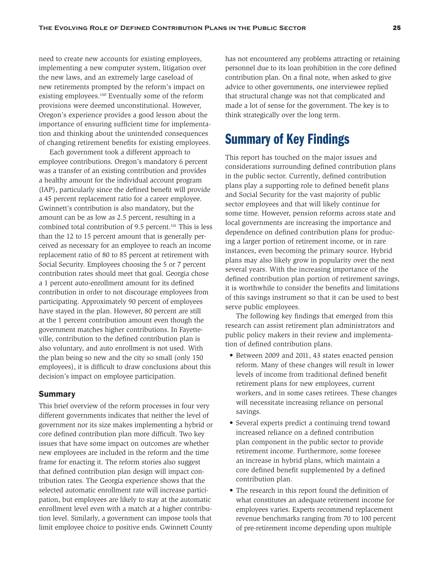need to create new accounts for existing employees, implementing a new computer system, litigation over the new laws, and an extremely large caseload of new retirements prompted by the reform's impact on existing employees.<sup>160</sup> Eventually some of the reform provisions were deemed unconstitutional. However, Oregon's experience provides a good lesson about the importance of ensuring sufficient time for implementation and thinking about the unintended consequences of changing retirement benefits for existing employees.

Each government took a different approach to employee contributions. Oregon's mandatory 6 percent was a transfer of an existing contribution and provides a healthy amount for the individual account program (IAP), particularly since the defined benefit will provide a 45 percent replacement ratio for a career employee. Gwinnett's contribution is also mandatory, but the amount can be as low as 2.5 percent, resulting in a combined total contribution of 9.5 percent.<sup>161</sup> This is less than the 12 to 15 percent amount that is generally perceived as necessary for an employee to reach an income replacement ratio of 80 to 85 percent at retirement with Social Security. Employees choosing the 5 or 7 percent contribution rates should meet that goal. Georgia chose a 1 percent auto-enrollment amount for its defined contribution in order to not discourage employees from participating. Approximately 90 percent of employees have stayed in the plan. However, 80 percent are still at the 1 percent contribution amount even though the government matches higher contributions. In Fayetteville, contribution to the defined contribution plan is also voluntary, and auto enrollment is not used. With the plan being so new and the city so small (only 150 employees), it is difficult to draw conclusions about this decision's impact on employee participation.

#### Summary

This brief overview of the reform processes in four very different governments indicates that neither the level of government nor its size makes implementing a hybrid or core defined contribution plan more difficult. Two key issues that have some impact on outcomes are whether new employees are included in the reform and the time frame for enacting it. The reform stories also suggest that defined contribution plan design will impact contribution rates. The Georgia experience shows that the selected automatic enrollment rate will increase participation, but employees are likely to stay at the automatic enrollment level even with a match at a higher contribution level. Similarly, a government can impose tools that limit employee choice to positive ends. Gwinnett County

has not encountered any problems attracting or retaining personnel due to its loan prohibition in the core defined contribution plan. On a final note, when asked to give advice to other governments, one interviewee replied that structural change was not that complicated and made a lot of sense for the government. The key is to think strategically over the long term.

# Summary of Key Findings

This report has touched on the major issues and considerations surrounding defined contribution plans in the public sector. Currently, defined contribution plans play a supporting role to defined benefit plans and Social Security for the vast majority of public sector employees and that will likely continue for some time. However, pension reforms across state and local governments are increasing the importance and dependence on defined contribution plans for producing a larger portion of retirement income, or in rare instances, even becoming the primary source. Hybrid plans may also likely grow in popularity over the next several years. With the increasing importance of the defined contribution plan portion of retirement savings, it is worthwhile to consider the benefits and limitations of this savings instrument so that it can be used to best serve public employees.

The following key findings that emerged from this research can assist retirement plan administrators and public policy makers in their review and implementation of defined contribution plans.

- Between 2009 and 2011, 43 states enacted pension reform. Many of these changes will result in lower levels of income from traditional defined benefit retirement plans for new employees, current workers, and in some cases retirees. These changes will necessitate increasing reliance on personal savings.
- Several experts predict a continuing trend toward increased reliance on a defined contribution plan component in the public sector to provide retirement income. Furthermore, some foresee an increase in hybrid plans, which maintain a core defined benefit supplemented by a defined contribution plan.
- The research in this report found the definition of what constitutes an adequate retirement income for employees varies. Experts recommend replacement revenue benchmarks ranging from 70 to 100 percent of pre-retirement income depending upon multiple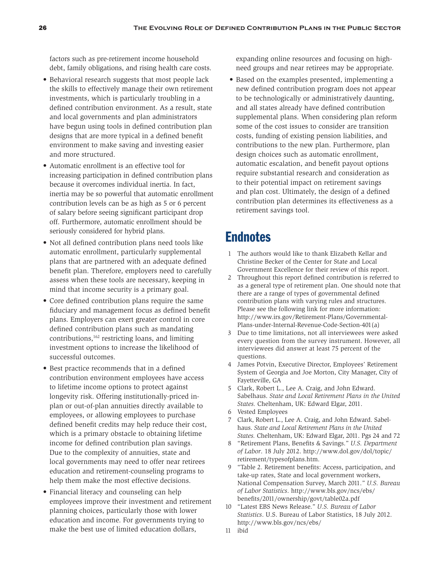factors such as pre-retirement income household debt, family obligations, and rising health care costs.

- Behavioral research suggests that most people lack the skills to effectively manage their own retirement investments, which is particularly troubling in a defined contribution environment. As a result, state and local governments and plan administrators have begun using tools in defined contribution plan designs that are more typical in a defined benefit environment to make saving and investing easier and more structured.
- Automatic enrollment is an effective tool for increasing participation in defined contribution plans because it overcomes individual inertia. In fact, inertia may be so powerful that automatic enrollment contribution levels can be as high as 5 or 6 percent of salary before seeing significant participant drop off. Furthermore, automatic enrollment should be seriously considered for hybrid plans.
- Not all defined contribution plans need tools like automatic enrollment, particularly supplemental plans that are partnered with an adequate defined benefit plan. Therefore, employers need to carefully assess when these tools are necessary, keeping in mind that income security is a primary goal.
- Core defined contribution plans require the same fiduciary and management focus as defined benefit plans. Employers can exert greater control in core defined contribution plans such as mandating contributions,162 restricting loans, and limiting investment options to increase the likelihood of successful outcomes.
- Best practice recommends that in a defined contribution environment employees have access to lifetime income options to protect against longevity risk. Offering institutionally-priced inplan or out-of-plan annuities directly available to employees, or allowing employees to purchase defined benefit credits may help reduce their cost, which is a primary obstacle to obtaining lifetime income for defined contribution plan savings. Due to the complexity of annuities, state and local governments may need to offer near retirees education and retirement-counseling programs to help them make the most effective decisions.
- Financial literacy and counseling can help employees improve their investment and retirement planning choices, particularly those with lower education and income. For governments trying to make the best use of limited education dollars,

expanding online resources and focusing on highneed groups and near retirees may be appropriate.

• Based on the examples presented, implementing a new defined contribution program does not appear to be technologically or administratively daunting, and all states already have defined contribution supplemental plans. When considering plan reform some of the cost issues to consider are transition costs, funding of existing pension liabilities, and contributions to the new plan. Furthermore, plan design choices such as automatic enrollment, automatic escalation, and benefit payout options require substantial research and consideration as to their potential impact on retirement savings and plan cost. Ultimately, the design of a defined contribution plan determines its effectiveness as a retirement savings tool.

# **Endnotes**

- 1 The authors would like to thank Elizabeth Kellar and Christine Becker of the Center for State and Local Government Excellence for their review of this report.
- 2 Throughout this report defined contribution is referred to as a general type of retirement plan. One should note that there are a range of types of governmental defined contribution plans with varying rules and structures. Please see the following link for more information: http://www.irs.gov/Retirement-Plans/Governmental-Plans-under-Internal-Revenue-Code-Section-401(a)
- 3 Due to time limitations, not all interviewees were asked every question from the survey instrument. However, all interviewees did answer at least 75 percent of the questions.
- 4 James Potvin, Executive Director, Employees' Retirement System of Georgia and Joe Morton, City Manager, City of Fayetteville, GA
- 5 Clark, Robert L., Lee A. Craig, and John Edward. Sabelhaus. *State and Local Retirement Plans in the United States.* Cheltenham, UK: Edward Elgar, 2011.
- 6 Vested Employees
- 7 Clark, Robert L., Lee A. Craig, and John Edward. Sabelhaus. *State and Local Retirement Plans in the United States.* Cheltenham, UK: Edward Elgar, 2011. Pgs 24 and 72
- 8 "Retirement Plans, Benefits & Savings." *U.S. Department of Labor*. 18 July 2012. http://www.dol.gov/dol/topic/ retirement/typesofplans.htm.
- 9 "Table 2. Retirement benefits: Access, participation, and take-up rates, State and local government workers, National Compensation Survey, March 2011." *U.S. Bureau of Labor Statistics*. http://www.bls.gov/ncs/ebs/ benefits/2011/ownership/govt/table02a.pdf
- 10 "Latest EBS News Release." *U.S. Bureau of Labor Statistics*. U.S. Bureau of Labor Statistics, 18 July 2012. http://www.bls.gov/ncs/ebs/
- 11 ibid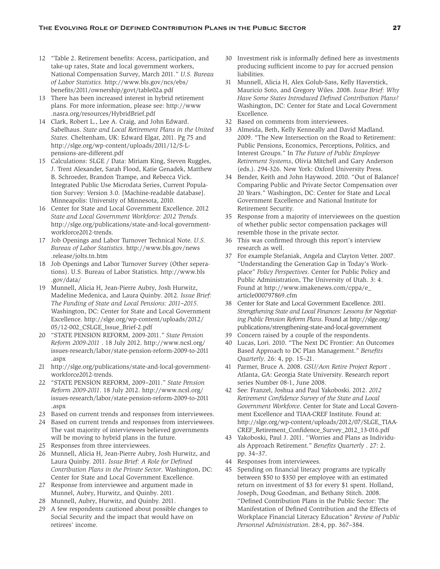- 12 "Table 2. Retirement benefits: Access, participation, and take-up rates, State and local government workers, National Compensation Survey, March 2011." *U.S. Bureau of Labor Statistics.* http://www.bls.gov/ncs/ebs/ benefits/2011/ownership/govt/table02a.pdf
- 13 There has been increased interest in hybrid retirement plans. For more information, please see: http://www .nasra.org/resources/HybridBrief.pdf
- 14 Clark, Robert L., Lee A. Craig, and John Edward. Sabelhaus. *State and Local Retirement Plans in the United States.* Cheltenham, UK: Edward Elgar, 2011. Pg 75 and http://slge.org/wp-content/uploads/2011/12/S-Lpensions-are-different.pdf
- 15 Calculations: SLGE / Data: Miriam King, Steven Ruggles, J. Trent Alexander, Sarah Flood, Katie Genadek, Matthew B. Schroeder, Brandon Trampe, and Rebecca Vick. Integrated Public Use Microdata Series, Current Population Survey: Version 3.0. [Machine-readable database]. Minneapolis: University of Minnesota, 2010.
- 16 Center for State and Local Government Excellence. 2012 *State and Local Government Workforce: 2012 Trends.* http://slge.org/publications/state-and-local-governmentworkforce2012-trends.
- 17 Job Openings and Labor Turnover Technical Note. *U.S. Bureau of Labor Statistics.* http://www.bls.gov/news .release/jolts.tn.htm
- 18 Job Openings and Labor Turnover Survey (Other seperations). U.S. Bureau of Labor Statistics. http://www.bls .gov/data/
- 19 Munnell, Alicia H, Jean-Pierre Aubry, Josh Hurwitz, Madeline Medenica, and Laura Quinby. 2012*. Issue Brief: The Funding of State and Local Pensions: 2011–2015.* Washington, DC: Center for State and Local Government Excellence. http://slge.org/wp-content/uploads/2012/ 05/12-002\_CSLGE\_Issue\_Brief-2.pdf
- 20 "STATE PENSION REFORM, 2009-2011." *State Pension Reform 2009-2011* . 18 July 2012. http://www.ncsl.org/ issues-research/labor/state-pension-reform-2009-to-2011 .aspx
- 21 http://slge.org/publications/state-and-local-governmentworkforce2012-trends.
- 22 "STATE PENSION REFORM, 2009–2011." *State Pension Reform 2009-2011*. 18 July 2012. http://www.ncsl.org/ issues-research/labor/state-pension-reform-2009-to-2011 .aspx
- 23 Based on current trends and responses from interviewees.
- 24 Based on current trends and responses from interviewees. The vast majority of interviewees believed governments will be moving to hybrid plans in the future.
- 25 Responses from three interviewees.
- 26 Munnell, Alicia H, Jean-Pierre Aubry, Josh Hurwitz, and Laura Quinby. 2011*. Issue Brief: A Role for Defined Contribution Plans in the Private Sector*. Washington, DC: Center for State and Local Government Excellence.
- 27 Response from interviewee and argument made in Munnel, Aubry, Hurwitz, and Quinby. 2011.
- 28 Munnell, Aubry, Hurwitz, and Quinby. 2011.
- 29 A few respondents cautioned about possible changes to Social Security and the impact that would have on retirees' income.
- 30 Investment risk is informally defined here as investments producing sufficient income to pay for accrued pension liabilities.
- 31 Munnell, Alicia H, Alex Golub-Sass, Kelly Haverstick, Mauricio Soto, and Gregory Wiles. 2008. *Issue Brief: Why Have Some States Introduced Defined Contribution Plans?* Washington, DC: Center for State and Local Government Excellence.
- 32 Based on comments from interviewees.
- 33 Almeida, Beth, Kelly Kenneally and David Madland. 2009. "The New Intersection on the Road to Retirement: Public Pensions, Economics, Perceptions, Politics, and Interest Groups." In *The Future of Public Employee Retirement Systems*, Olivia Mitchell and Gary Anderson (eds.). 294-326. New York: Oxford University Press.
- 34 Bender, Keith and John Haywood. 2010. "Out of Balance? Comparing Public and Private Sector Compensation over 20 Years." Washington, DC: Center for State and Local Government Excellence and National Institute for Retirement Security.
- 35 Response from a majority of interviewees on the question of whether public sector compensation packages will resemble those in the private sector.
- 36 This was confirmed through this report's interview research as well.
- 37 For example Stefaniak, Angela and Clayton Vetter. 2007. "Understanding the Generation Gap in Today's Workplace" *Policy Perspectives*. Center for Public Policy and Public Administration, The University of Utah. 3: 4. Found at http://www.imakenews.com/cppa/e\_ article000797869.cfm
- 38 Center for State and Local Government Excellence. 2011. *Strengthening State and Local Finances: Lessons for Negotiating Public Pension Reform Plans*. Found at http://slge.org/ publications/strengthening-state-and-local-government
- 39 Concern raised by a couple of the respondents.
- 40 Lucas, Lori. 2010. "The Next DC Frontier: An Outcomes Based Approach to DC Plan Management." *Benefits Quarterly*. 26: 4, pp. 15–21.
- 41 Parmer, Bruce A. 2008. *GSU/Aon Retire Project Report* . Atlanta, GA: Georgia State University. Research report series Number 08-1, June 2008.
- 42 See: Franzel, Joshua and Paul Yakoboski. 2012. *2012 Retirement Confidence Survey of the State and Local Government Workforce*. Center for State and Local Government Excellence and TIAA-CREF Institute. Found at: http://slge.org/wp-content/uploads/2012/07/SLGE\_TIAA-CREF\_Retirement\_Confidence\_Survey\_2012\_13-016.pdf
- 43 Yakoboski, Paul J. 2011. "Worries and Plans as Individuals Approach Retirement." *Benefits Quarterly* . 27: 2. pp. 34–37.
- 44 Responses from interviewees.
- 45 Spending on financial literacy programs are typically between \$50 to \$350 per employee with an estimated return on investment of \$3 for every \$1 spent. Holland, Joseph, Doug Goodman, and Bethany Stitch. 2008. "Defined Contribution Plans in the Public Sector: The Manifestation of Defined Contribution and the Effects of Workplace Financial Literacy Education" *Review of Public Personnel Administration*. 28:4, pp. 367–384.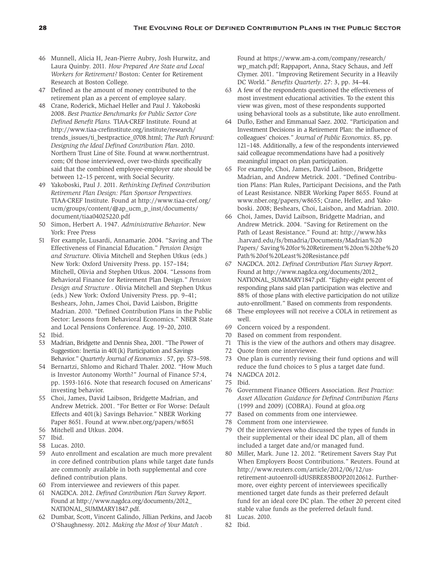- 46 Munnell, Alicia H, Jean-Pierre Aubry, Josh Hurwitz, and Laura Quinby. 2011*. How Prepared Are State and Local Workers for Retirement?* Boston: Center for Retirement Research at Boston College.
- 47 Defined as the amount of money contributed to the retirement plan as a percent of employee salary.
- 48 Crane, Roderick, Michael Heller and Paul J. Yakoboski 2008. *Best Practice Benchmarks for Public Sector Core Defined Benefit Plans.* TIAA-CREF Institute. Found at http://www.tiaa-crefinstitute.org/institute/research/ trends\_issues/ti\_bestpractice\_0708.html; *The Path Forward: Designing the Ideal Defined Contribution Plan.* 2010. Northern Trust Line of Site. Found at www.northerntrust. com; Of those interviewed, over two-thirds specifically said that the combined employee-employer rate should be between 12–15 percent, with Social Security.
- 49 Yakoboski, Paul J. 2011. *Rethinking Defined Contribution Retirement Plan Design: Plan Sponsor Perspectives.* TIAA-CREF Institute. Found at http://www.tiaa-cref.org/ ucm/groups/content/@ap\_ucm\_p\_inst/documents/ document/tiaa04025220.pdf
- 50 Simon, Herbert A. 1947. *Administrative Behavior*. New York: Free Press
- 51 For example, Lusardi, Annamarie. 2004. "Saving and The Effectiveness of Financial Education." *Pension Design and Structure*. Olivia Mitchell and Stephen Utkus (eds.) New York: Oxford University Press. pp. 157–184; Mitchell, Olivia and Stephen Utkus. 2004. "Lessons from Behavioral Finance for Retirement Plan Design." *Pension Design and Structure* . Olivia Mitchell and Stephen Utkus (eds.) New York: Oxford University Press. pp. 9–41; Beshears, John, James Choi, David Laisbon, Brigitte Madrian. 2010. "Defined Contribution Plans in the Public Sector: Lessons from Behavioral Economics." NBER State and Local Pensions Conference. Aug. 19–20, 2010.
- 52 Ibid.
- 53 Madrian, Bridgette and Dennis Shea, 2001. "The Power of Suggestion: Inertia in 401(k) Participation and Savings Behavior." *Quarterly Journal of Economics* . 57, pp. 573–598.
- 54 Bernartzi, Shlomo and Richard Thaler. 2002. "How Much is Investor Autonomy Worth?" Journal of Finance 57:4, pp. 1593-1616. Note that research focused on Americans' investing behavior.
- 55 Choi, James, David Laibson, Bridgette Madrian, and Andrew Metrick. 2001. "For Better or For Worse: Default Effects and 401(k) Savings Behavior." NBER Working Paper 8651. Found at www.nber.org/papers/w8651
- 56 Mitchell and Utkus. 2004.
- 57 Ibid.
- 58 Lucas. 2010.
- 59 Auto enrollment and escalation are much more prevalent in core defined contribution plans while target date funds are commonly available in both supplemental and core defined contribution plans.
- 60 From interviewee and reviewers of this paper.
- 61 NAGDCA. 2012. *Defined Contribution Plan Survey Report*. Found at http://www.nagdca.org/documents/2012\_ NATIONAL\_SUMMARY1847.pdf.
- 62 Dumbar, Scott, Vincent Galindo, Jillian Perkins, and Jacob O'Shaughnessy. 2012. *Making the Most of Your Match* .

Found at https://www.am-a.com/company/research/ wp\_match.pdf; Rappaport, Anna, Stacy Schaus, and Jeff Clymer. 2011. "Improving Retirement Security in a Heavily DC World." *Benefits Quarterly*. 27: 3, pp. 34–44.

- 63 A few of the respondents questioned the effectiveness of most investment educational activities. To the extent this view was given, most of these respondents supported using behavioral tools as a substitute, like auto enrollment.
- 64 Duflo, Esther and Emmanual Saez. 2002. "Participation and Investment Decisions in a Retirement Plan: the influence of colleagues' choices." *Journal of Public Economics*. 85, pp. 121–148. Additionally, a few of the respondents interviewed said colleague recommendations have had a positively meaningful impact on plan participation.
- 65 For example, Choi, James, David Laibson, Bridgette Madrian, and Andrew Metrick. 2001. "Defined Contribution Plans: Plan Rules, Participant Decisions, and the Path of Least Resistance. NBER Working Paper 8655. Found at www.nber.org/papers/w8655; Crane, Heller, and Yakoboski. 2008; Beshears, Choi, Laisbon, and Madrian. 2010.
- 66 Choi, James, David Laibson, Bridgette Madrian, and Andrew Metrick. 2004. "Saving for Retirement on the Path of Least Resistance." Found at: http://www.hks .harvard.edu/fs/bmadria/Documents/Madrian%20 Papers/ Saving%20for%20Retirement%20on%20the%20 Path%20of%20Least%20Resistance.pdf
- 67 NAGDCA. 2012. *Defined Contribution Plan Survey Report*. Found at http://www.nagdca.org/documents/2012\_ NATIONAL\_SUMMARY1847.pdf. "Eighty-eight percent of responding plans said plan participation was elective and 88% of those plans with elective participation do not utilize auto-enrollment." Based on comments from respondents.
- 68 These employees will not receive a COLA in retirement as well.
- 69 Concern voiced by a respondent.
- 70 Based on comment from respondent.
- 71 This is the view of the authors and others may disagree.
- 72 Quote from one interviewee.
- 73 One plan is currently revising their fund options and will reduce the fund choices to 5 plus a target date fund.
- 74 NAGDCA 2012.
- 75 Ibid.
- 76 Government Finance Officers Association. *Best Practice: Asset Allocation Guidance for Defined Contribution Plans* (1999 and 2009) (COBRA). Found at gfoa.org
- 77 Based on comments from one interviewee.
- 78 Comment from one interviewee.
- 79 Of the interviewees who discussed the types of funds in their supplemental or their ideal DC plan, all of them included a target date and/or managed fund.
- 80 Miller, Mark. June 12. 2012. "Retirement Savers Stay Put When Employers Boost Contributions." Reuters. Found at http://www.reuters.com/article/2012/06/12/usretirement-autoenroll-idUSBRE85B0OP20120612. Furthermore, over eighty percent of interviewees specifically mentioned target date funds as their preferred default fund for an ideal core DC plan. The other 20 percent cited stable value funds as the preferred default fund.
- 81 Lucas. 2010.
- 82 Ibid.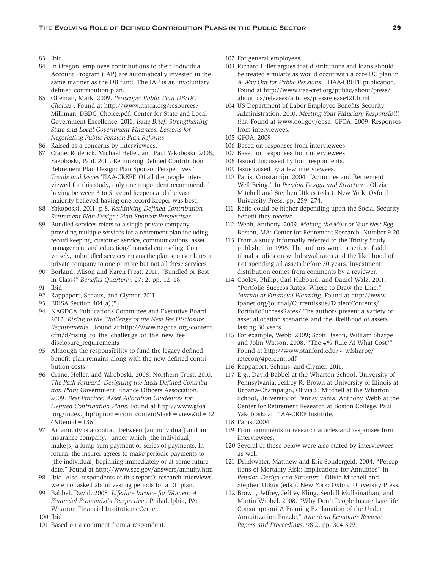- 83 Ibid.
- 84 In Oregon, employee contributions to their Individual Account Program (IAP) are automatically invested in the same manner as the DB fund. The IAP is an involuntary defined contribution plan.
- 85 Olleman, Mark. 2009. *Periscope: Public Plan DB/DC Choices* . Found at http://www.nasra.org/resources/ Milliman\_DBDC\_Choice.pdf; Center for State and Local Government Excellence. 2011. *Issue Brief: Strengthening State and Local Government Finances: Lessons for Negotiating Public Pension Plan Reforms*.
- 86 Raised as a concerns by interviewees.
- 87 Crane, Roderick, Michael Heller, and Paul Yakoboski. 2008; Yakoboski, Paul. 2011. Rethinking Defined Contribution Retirement Plan Design: Plan Sponsor Perspectives." *Trends and Issues* TIAA-CREFF. Of all the people interviewed for this study, only one respondent recommended having between 3 to 5 record keepers and the vast majority believed having one record keeper was best.
- 88 Yakoboski. 2011. p 8. *Rethinking Defined Contribution Retirement Plan Design: Plan Sponsor Perspectives* .
- 89 Bundled services refers to a single private company providing multiple services for a retirement plan including record keeping, customer service, communications, asset management and education/financial counseling. Conversely, unbundled services means the plan sponsor hires a private company to one or more but not all these services.
- 90 Borland, Alison and Karen Frost. 2011. "Bundled or Best in Class?" *Benefits Quarterly*. 27: 2. pp. 12–18. 91 Ibid.
- 92 Rappaport, Schaus, and Clymer. 2011.
- 93 ERISA Section 404(a)(5)
- 94 NAGDCA Publications Committee and Executive Board. 2012. *Rising to the Challenge of the New Fee Disclosure Requirements* . Found at http://www.nagdca.org/content. cfm/d/rising\_to\_the\_challenge\_of\_the\_new\_fee\_ disclosure\_requirements
- 95 Although the responsibility to fund the legacy defined benefit plan remains along with the new defined contribution costs.
- 96 Crane, Heller, and Yakoboski. 2008; Northern Trust. 2010. *The Path Forward: Designing the Ideal Defined Contribution Plan;* Government Finance Officers Association. 2009. *Best Practice: Asset Allocation Guidelines for Defined Contribution Plans.* Found at http://www.gfoa .org/index.php?option=com\_content&task=view&id=12 4&Itemid=136
- 97 An annuity is a contract between [an individual] and an insurance company…under which [the individual] make[s] a lump-sum payment or series of payments. In return, the insurer agrees to make periodic payments to [the individual] beginning immediately or at some future date." Found at http://www.sec.gov/answers/annuity.htm
- 98 Ibid. Also, respondents of this report's research interviews were not asked about vesting periods for a DC plan.
- 99 Babbel, David. 2008*. Lifetime Income for Women: A Financial Economist's Perspective* . Philadelphia, PA: Wharton Financial Institutions Center.
- 100 Ibid.
- 101 Based on a comment from a respondent.
- 102 For general employees.
- 103 Richard Hiller argues that distributions and loans should be treated similarly as would occur with a core DC plan in *A Way Out for Public Pensions* . TIAA-CREFF publication. Found at http://www.tiaa-cref.org/public/about/press/ about\_us/releases/articles/pressrelease421.html
- 104 US Department of Labor Employee Benefits Security Administration. 2010. *Meeting Your Fiduciary Responsibilities*. Found at www.dol.gov/ebsa; GFOA. 2009; Responses from interviewees.
- 105 GFOA. 2009
- 106 Based on responses from interviewees.
- 107 Based on responses from interviewees.
- 108 Issued discussed by four respondents.
- 109 Issue raised by a few interviewees.
- 110 Panis, Constantijn. 2004. "Annuities and Retirement Well-Being." In *Pension Design and Structure* . Olivia Mitchell and Stephen Utkus (eds.). New York: Oxford University Press. pp. 259–274.
- 111 Ratio could be higher depending upon the Social Security benefit they receive.
- 112 Webb, Anthony. 2009. *Making the Most of Your Nest Egg*. Boston, MA: Center for Retirement Research. Number 9-20
- 113 From a study informally referred to the Trinity Study published in 1998. The authors wrote a series of additional studies on withdrawal rates and the likelihood of not spending all assets before 30 years. Investment distribution comes from comments by a reviewer.
- 114 Cooley, Philip, Carl Hubbard, and Daniel Walz. 2011. "Portfolio Success Rates: Where to Draw the Line." *Journal of Financial Planning.* Found at http://www. fpanet.org/journal/CurrentIssue/TableofContents/ PortfolioSuccessRates/ The authors present a variety of asset allocation scenarios and the likelihood of assets lasting 30 years.
- 115 For example, Webb. 2009; Scott, Jason, William Sharpe and John Watson. 2008. "The 4% Rule-At What Cost?" Found at http://www.stanford.edu/ $\sim$ wfsharpe/ retecon/4percent.pdf
- 116 Rappaport, Schaus, and Clymer. 2011.
- 117 E.g., David Babbel at the Wharton School, University of Pennsylvania, Jeffrey R. Brown at University of Illinois at Urbana-Champaign, Olivia S. Mitchell at the Wharton School, University of Pennsylvania, Anthony Webb at the Center for Retirement Research at Boston College, Paul Yakoboski at TIAA-CREF Institute.
- 118 Panis, 2004.
- 119 From comments in research articles and responses from interviewees.
- 120 Several of these below were also stated by interviewees as well
- 121 Drinkwater, Matthew and Eric Sondergeld. 2004. "Perceptions of Mortality Risk: Implications for Annuities" In *Pension Design and Structure* . Olivia Mitchell and Stephen Utkus (eds.). New York: Oxford University Press.
- 122 Brown, Jeffrey, Jeffrey Kling, Senhill Mullainathan, and Martin Wrobel. 2008. "Why Don't People Insure Late-life Consumption? A Framing Explanation of the Under-Annuitization Puzzle." *American Economic Review: Papers and Proceedings*. 98:2, pp. 304-309.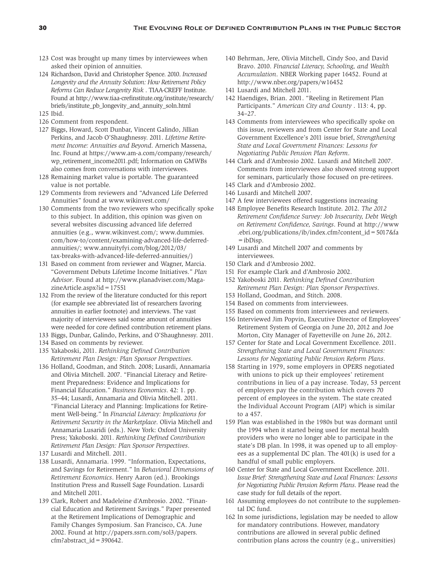- 123 Cost was brought up many times by interviewees when asked their opinion of annuities.
- 124 Richardson, David and Christopher Spence. 2010. *Increased Longevity and the Annuity Solution: How Retirement Policy Reforms Can Reduce Longevity Risk* . TIAA-CREFF Institute. Found at http://www.tiaa-crefinstitute.org/institute/research/ briefs/institute\_pb\_longevity\_and\_annuity\_soln.html
- 125 Ibid.
- 126 Comment from respondent.
- 127 Biggs, Howard, Scott Dunbar, Vincent Galindo, Jillian Perkins, and Jacob O'Shaughnessy. 2011. *Lifetime Retirement Income: Annuities and Beyond*. Arnerich Massena, Inc. Found at https://www.am-a.com/company/research/ wp\_retirement\_income2011.pdf; Information on GMWBs also comes from conversations with interviewees.
- 128 Remaining market value is portable. The guaranteed value is not portable.
- 129 Comments from reviewers and "Advanced Life Deferred Annuities" found at www.wikinvest.com/
- 130 Comments from the two reviewers who specifically spoke to this subject. In addition, this opinion was given on several websites discussing advanced life deferred annuities (e.g., www.wikinvest.com/; www.dummies. com/how-to/content/examining-advanced-life-deferredannuities/; www.annuityfyi.com/blog/2012/03/ tax-breaks-with-advanced-life-deferred-annuities/)
- 131 Based on comment from reviewer and Wagner, Marcia. "Government Debuts Lifetime Income Initiatives." *Plan Advisor*. Found at http://www.planadviser.com/MagazineArticle.aspx?id=17551
- 132 From the review of the literature conducted for this report (for example see abbreviated list of researchers favoring annuities in earlier footnote) and interviews. The vast majority of interviewees said some amount of annuities were needed for core defined contribution retirement plans.
- 133 Biggs, Dunbar, Galindo, Perkins, and O'Shaughnessy. 2011.
- 134 Based on comments by reviewer.
- 135 Yakaboski, 2011. *Rethinking Defined Contribution Retirement Plan Design: Plan Sponsor Perspectives*.
- 136 Holland, Goodman, and Stitch. 2008; Lusardi, Annamaria and Olivia Mitchell. 2007. "Financial Literacy and Retirement Preparedness: Evidence and Implications for Financial Education." *Business Economics*. 42: 1. pp. 35–44; Lusardi, Annamaria and Olivia Mitchell. 2011. "Financial Literacy and Planning: Implications for Retirement Well-being." In *Financial Literacy: Implications for Retirement Security in the Marketplace*. Olivia Mitchell and Annamaria Lusaridi (eds.). New York: Oxford University Press; Yakoboski. 2011. *Rethinking Defined Contribution Retirement Plan Design: Plan Sponsor Perspectives*.
- 137 Lusardi and Mitchell. 2011.
- 138 Lusardi, Annamaria. 1999. "Information, Expectations, and Savings for Retirement." In *Behavioral Dimensions of Retirement Economics*. Henry Aaron (ed.). Brookings Institution Press and Russell Sage Foundation. Lusardi and Mitchell 2011.
- 139 Clark, Robert and Madeleine d'Ambrosio. 2002. "Financial Education and Retirement Savings." Paper presented at the Retirement Implications of Demographic and Family Changes Symposium. San Francisco, CA. June 2002. Found at http://papers.ssrn.com/sol3/papers. cfm?abstract\_id= $390642$ .
- 140 Behrman, Jere, Olivia Mitchell, Cindy Soo, and David Bravo. 2010. *Financial Literacy, Schooling, and Wealth Accumulation*. NBER Working paper 16452. Found at http://www.nber.org/papers/w16452
- 141 Lusardi and Mitchell 2011.
- 142 Haendiges, Brian. 2001. "Reeling in Retirement Plan Participants." *American City and County* . 113: 4, pp. 34–27.
- 143 Comments from interviewees who specifically spoke on this issue, reviewers and from Center for State and Local Government Excellence's 2011 issue brief, *Strengthening State and Local Government Finances: Lessons for Negotiating Public Pension Plan Reform*.
- 144 Clark and d'Ambrosio 2002. Lusardi and Mitchell 2007. Comments from interviewees also showed strong support for seminars, particularly those focused on pre-retirees.
- 145 Clark and d'Ambrosio 2002.
- 146 Lusardi and Mitchell 2007.
- 147 A few interviewees offered suggestions increasing
- 148 Employee Benefits Research Institute. 2012. *The 2012 Retirement Confidence Survey: Job Insecurity, Debt Weigh on Retirement Confidence, Savings*. Found at http://www .ebri.org/publications/ib/index.cfm?content\_id=5017&fa =ibDisp.
- 149 Lusardi and Mitchell 2007 and comments by interviewees.
- 150 Clark and d'Ambrosio 2002.
- 151 For example Clark and d'Ambrosio 2002.
- 152 Yakoboski 2011. *Rethinking Defined Contribution Retirement Plan Design: Plan Sponsor Perspectives*.
- 153 Holland, Goodman, and Stitch. 2008.
- 154 Based on comments from interviewees.
- 155 Based on comments from interviewees and reviewers.
- 156 Interviewed Jim Popvin, Executive Director of Employees' Retirement System of Georgia on June 20, 2012 and Joe Morton, City Manager of Fayetteville on June 26, 2012.
- 157 Center for State and Local Government Excellence. 2011. *Strengthening State and Local Government Finances: Lessons for Negotiating Public Pension Reform Plans*.
- 158 Starting in 1979, some employers in OPERS negotiated with unions to pick up their employees' retirement contributions in lieu of a pay increase. Today, 53 percent of employers pay the contribution which covers 70 percent of employees in the system. The state created the Individual Account Program (AIP) which is similar to a 457.
- 159 Plan was established in the 1980s but was dormant until the 1994 when it started being used for mental health providers who were no longer able to participate in the state's DB plan. In 1998, it was opened up to all employees as a supplemental DC plan. The 401(k) is used for a handful of small public employers.
- 160 Center for State and Local Government Excellence. 2011. *Issue Brief: Strengthening State and Local Finances: Lessons for Negotiating Public Pension Reform Plans*. Please read the case study for full details of the report.
- 161 Assuming employees do not contribute to the supplemental DC fund.
- 162 In some jurisdictions, legislation may be needed to allow for mandatory contributions. However, mandatory contributions are allowed in several public defined contribution plans across the country (e.g., universities)